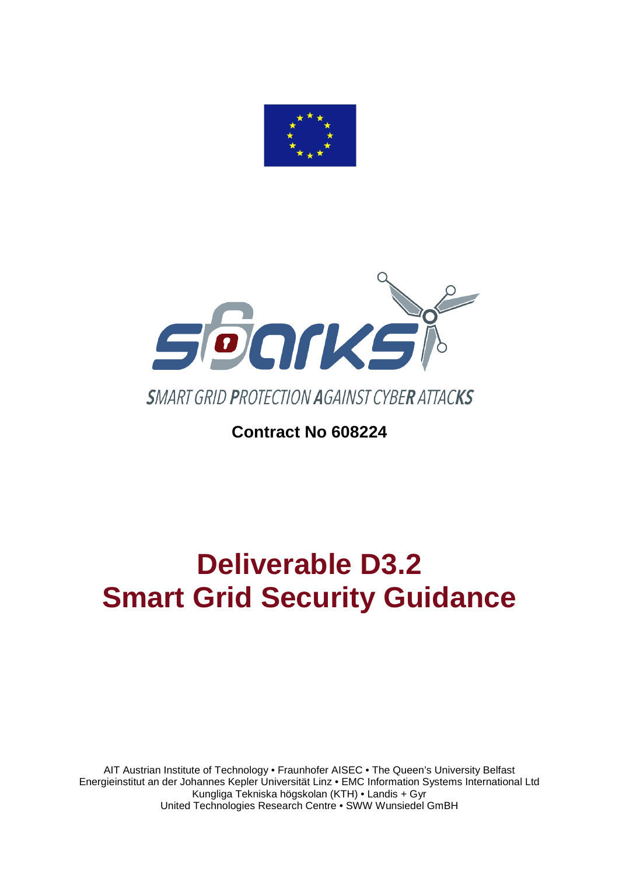



# **Contract No 608224**

# **Deliverable D3.2 Smart Grid Security Guidance**

AIT Austrian Institute of Technology • Fraunhofer AISEC • The Queen's University Belfast Energieinstitut an der Johannes Kepler Universität Linz • EMC Information Systems International Ltd Kungliga Tekniska högskolan (KTH) • Landis + Gyr United Technologies Research Centre • SWW Wunsiedel GmBH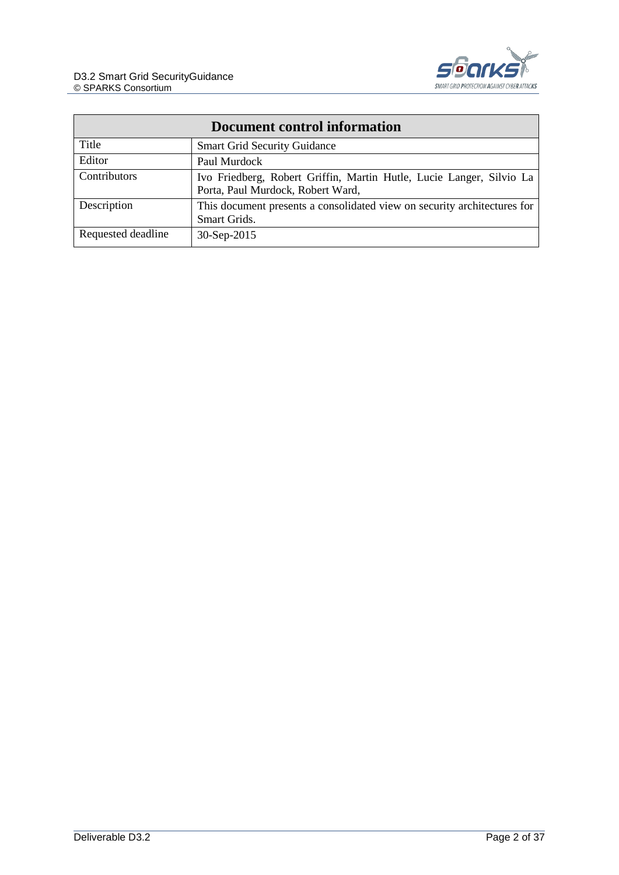

| Document control information |                                                                                                           |  |
|------------------------------|-----------------------------------------------------------------------------------------------------------|--|
| Title                        | <b>Smart Grid Security Guidance</b>                                                                       |  |
| Editor                       | Paul Murdock                                                                                              |  |
| Contributors                 | Ivo Friedberg, Robert Griffin, Martin Hutle, Lucie Langer, Silvio La<br>Porta, Paul Murdock, Robert Ward, |  |
| Description                  | This document presents a consolidated view on security architectures for<br>Smart Grids.                  |  |
| Requested deadline           | 30-Sep-2015                                                                                               |  |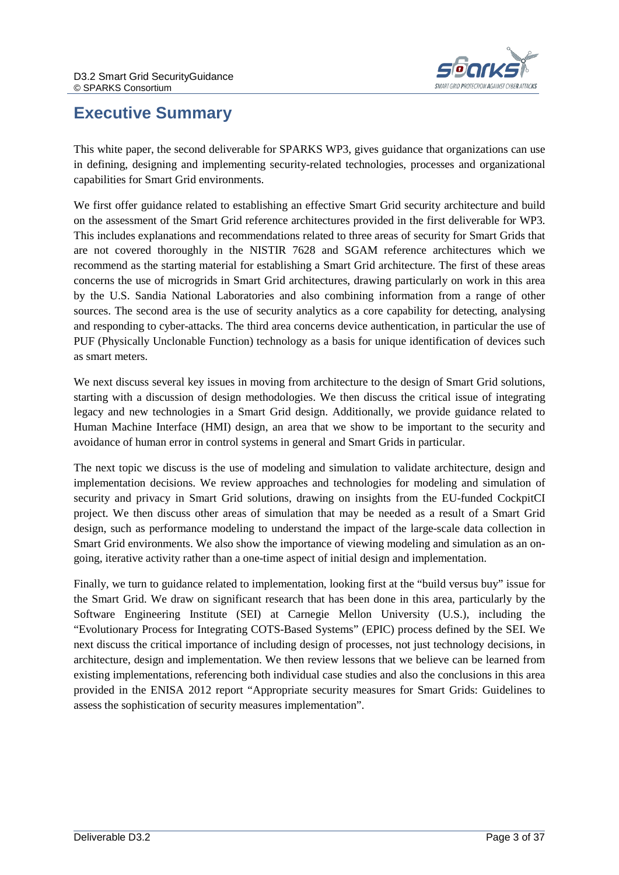

# <span id="page-2-0"></span>**Executive Summary**

This white paper, the second deliverable for SPARKS WP3, gives guidance that organizations can use in defining, designing and implementing security-related technologies, processes and organizational capabilities for Smart Grid environments.

We first offer guidance related to establishing an effective Smart Grid security architecture and build on the assessment of the Smart Grid reference architectures provided in the first deliverable for WP3. This includes explanations and recommendations related to three areas of security for Smart Grids that are not covered thoroughly in the NISTIR 7628 and SGAM reference architectures which we recommend as the starting material for establishing a Smart Grid architecture. The first of these areas concerns the use of microgrids in Smart Grid architectures, drawing particularly on work in this area by the U.S. Sandia National Laboratories and also combining information from a range of other sources. The second area is the use of security analytics as a core capability for detecting, analysing and responding to cyber-attacks. The third area concerns device authentication, in particular the use of PUF (Physically Unclonable Function) technology as a basis for unique identification of devices such as smart meters.

We next discuss several key issues in moving from architecture to the design of Smart Grid solutions, starting with a discussion of design methodologies. We then discuss the critical issue of integrating legacy and new technologies in a Smart Grid design. Additionally, we provide guidance related to Human Machine Interface (HMI) design, an area that we show to be important to the security and avoidance of human error in control systems in general and Smart Grids in particular.

The next topic we discuss is the use of modeling and simulation to validate architecture, design and implementation decisions. We review approaches and technologies for modeling and simulation of security and privacy in Smart Grid solutions, drawing on insights from the EU-funded CockpitCI project. We then discuss other areas of simulation that may be needed as a result of a Smart Grid design, such as performance modeling to understand the impact of the large-scale data collection in Smart Grid environments. We also show the importance of viewing modeling and simulation as an ongoing, iterative activity rather than a one-time aspect of initial design and implementation.

Finally, we turn to guidance related to implementation, looking first at the "build versus buy" issue for the Smart Grid. We draw on significant research that has been done in this area, particularly by the Software Engineering Institute (SEI) at Carnegie Mellon University (U.S.), including the "Evolutionary Process for Integrating COTS-Based Systems" (EPIC) process defined by the SEI. We next discuss the critical importance of including design of processes, not just technology decisions, in architecture, design and implementation. We then review lessons that we believe can be learned from existing implementations, referencing both individual case studies and also the conclusions in this area provided in the ENISA 2012 report "Appropriate security measures for Smart Grids: Guidelines to assess the sophistication of security measures implementation".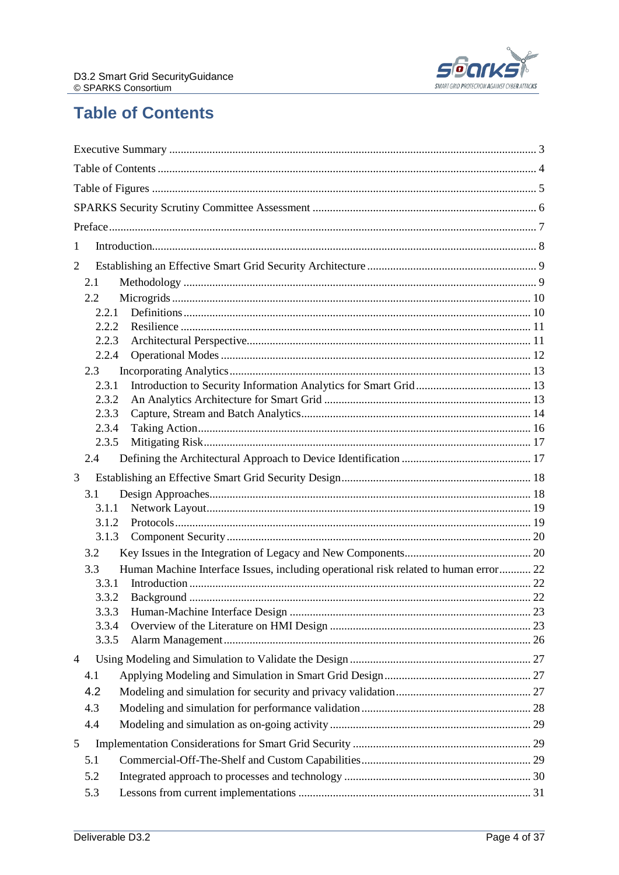

# <span id="page-3-0"></span>**Table of Contents**

| 1                                                                                           |  |
|---------------------------------------------------------------------------------------------|--|
| $\overline{2}$                                                                              |  |
| 2.1                                                                                         |  |
| 2.2                                                                                         |  |
| 2.2.1                                                                                       |  |
| 2.2.2<br>2.2.3                                                                              |  |
| 2.2.4                                                                                       |  |
| 2.3                                                                                         |  |
| 2.3.1                                                                                       |  |
| 2.3.2                                                                                       |  |
| 2.3.3                                                                                       |  |
| 2.3.4                                                                                       |  |
| 2.3.5                                                                                       |  |
| 2.4                                                                                         |  |
| 3                                                                                           |  |
| 3.1                                                                                         |  |
| 3.1.1                                                                                       |  |
| 3.1.2                                                                                       |  |
| 3.1.3                                                                                       |  |
| 3.2                                                                                         |  |
| Human Machine Interface Issues, including operational risk related to human error 22<br>3.3 |  |
| 3.3.1                                                                                       |  |
| 3.3.2                                                                                       |  |
| 3.3.3                                                                                       |  |
| 3.3.4                                                                                       |  |
| 3.3.5                                                                                       |  |
| 4                                                                                           |  |
| 4.1                                                                                         |  |
| 4.2                                                                                         |  |
| 4.3                                                                                         |  |
| 4.4                                                                                         |  |
| 5                                                                                           |  |
| 5.1                                                                                         |  |
|                                                                                             |  |
| 5.2                                                                                         |  |
| 5.3                                                                                         |  |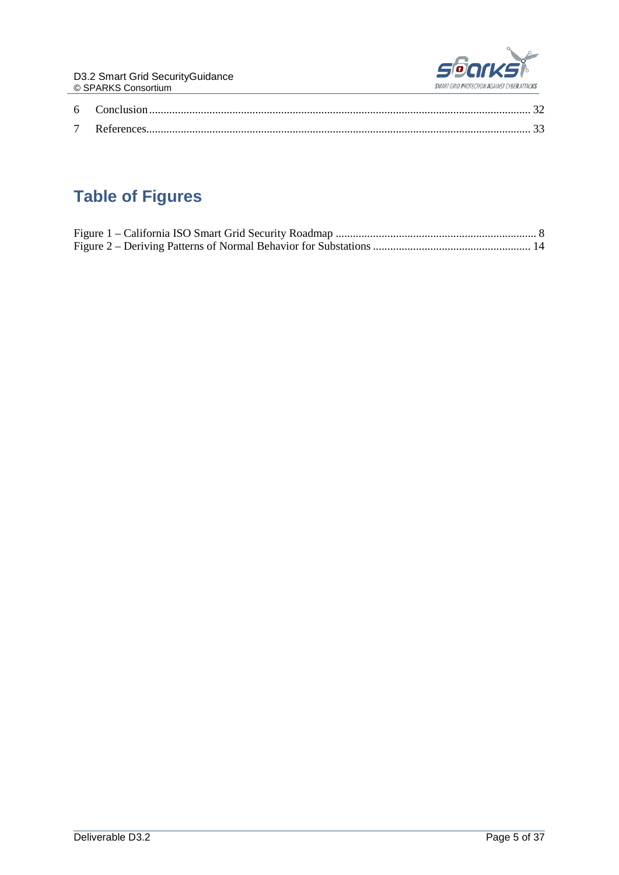

# <span id="page-4-0"></span>**Table of Figures**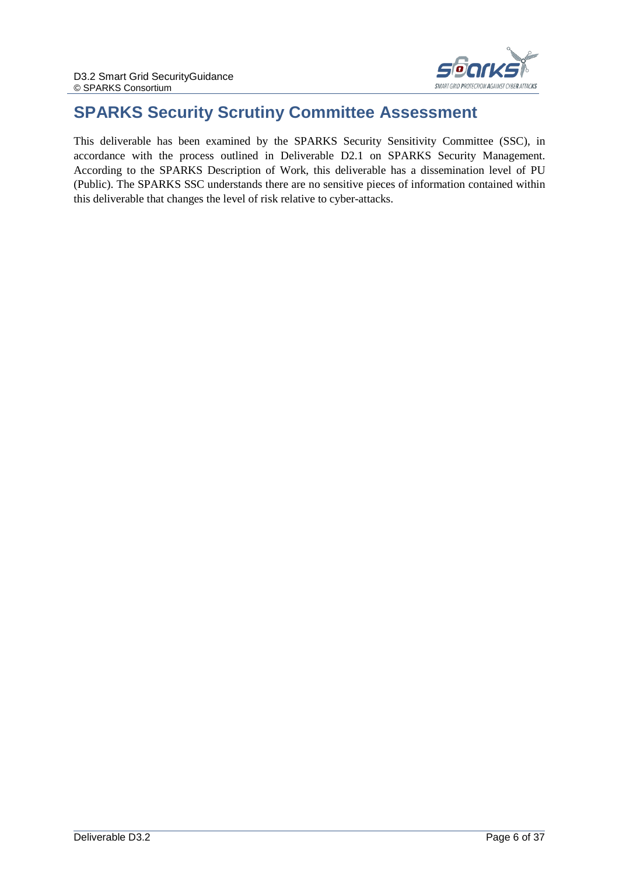

# <span id="page-5-0"></span>**SPARKS Security Scrutiny Committee Assessment**

This deliverable has been examined by the SPARKS Security Sensitivity Committee (SSC), in accordance with the process outlined in Deliverable D2.1 on SPARKS Security Management. According to the SPARKS Description of Work, this deliverable has a dissemination level of PU (Public). The SPARKS SSC understands there are no sensitive pieces of information contained within this deliverable that changes the level of risk relative to cyber-attacks.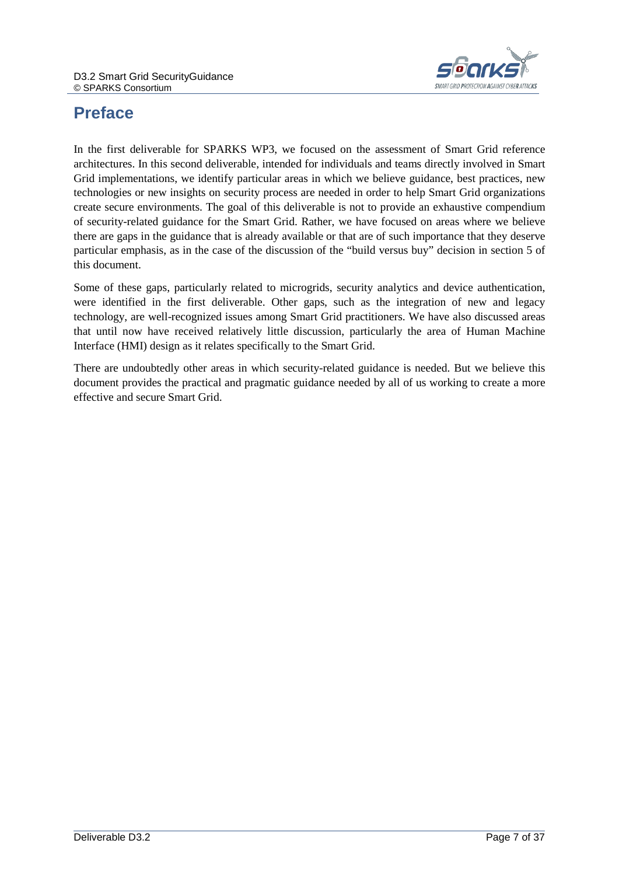

# <span id="page-6-0"></span>**Preface**

In the first deliverable for SPARKS WP3, we focused on the assessment of Smart Grid reference architectures. In this second deliverable, intended for individuals and teams directly involved in Smart Grid implementations, we identify particular areas in which we believe guidance, best practices, new technologies or new insights on security process are needed in order to help Smart Grid organizations create secure environments. The goal of this deliverable is not to provide an exhaustive compendium of security-related guidance for the Smart Grid. Rather, we have focused on areas where we believe there are gaps in the guidance that is already available or that are of such importance that they deserve particular emphasis, as in the case of the discussion of the "build versus buy" decision in section 5 of this document.

Some of these gaps, particularly related to microgrids, security analytics and device authentication, were identified in the first deliverable. Other gaps, such as the integration of new and legacy technology, are well-recognized issues among Smart Grid practitioners. We have also discussed areas that until now have received relatively little discussion, particularly the area of Human Machine Interface (HMI) design as it relates specifically to the Smart Grid.

There are undoubtedly other areas in which security-related guidance is needed. But we believe this document provides the practical and pragmatic guidance needed by all of us working to create a more effective and secure Smart Grid.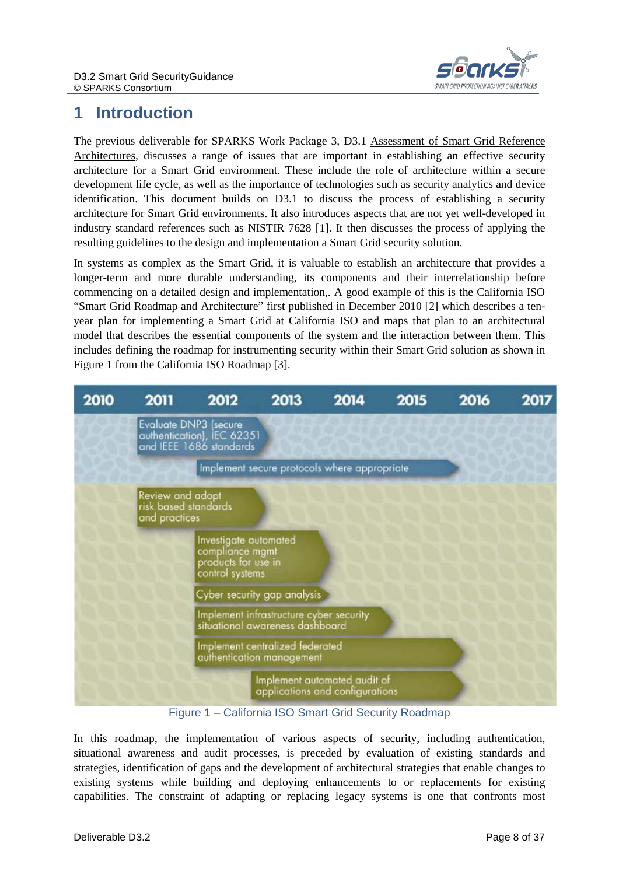

# <span id="page-7-0"></span>**1 Introduction**

The previous deliverable for SPARKS Work Package 3, D3.1 Assessment of Smart Grid Reference Architectures, discusses a range of issues that are important in establishing an effective security architecture for a Smart Grid environment. These include the role of architecture within a secure development life cycle, as well as the importance of technologies such as security analytics and device identification. This document builds on D3.1 to discuss the process of establishing a security architecture for Smart Grid environments. It also introduces aspects that are not yet well-developed in industry standard references such as NISTIR 7628 [\[1\]](#page-32-1). It then discusses the process of applying the resulting guidelines to the design and implementation a Smart Grid security solution.

In systems as complex as the Smart Grid, it is valuable to establish an architecture that provides a longer-term and more durable understanding, its components and their interrelationship before commencing on a detailed design and implementation,. A good example of this is the California ISO "Smart Grid Roadmap and Architecture" first published in December 2010 [2] which describes a tenyear plan for implementing a Smart Grid at California ISO and maps that plan to an architectural model that describes the essential components of the system and the interaction between them. This includes defining the roadmap for instrumenting security within their Smart Grid solution as shown in Figure 1 from the California ISO Roadmap [3].



Figure 1 – California ISO Smart Grid Security Roadmap

<span id="page-7-1"></span>In this roadmap, the implementation of various aspects of security, including authentication, situational awareness and audit processes, is preceded by evaluation of existing standards and strategies, identification of gaps and the development of architectural strategies that enable changes to existing systems while building and deploying enhancements to or replacements for existing capabilities. The constraint of adapting or replacing legacy systems is one that confronts most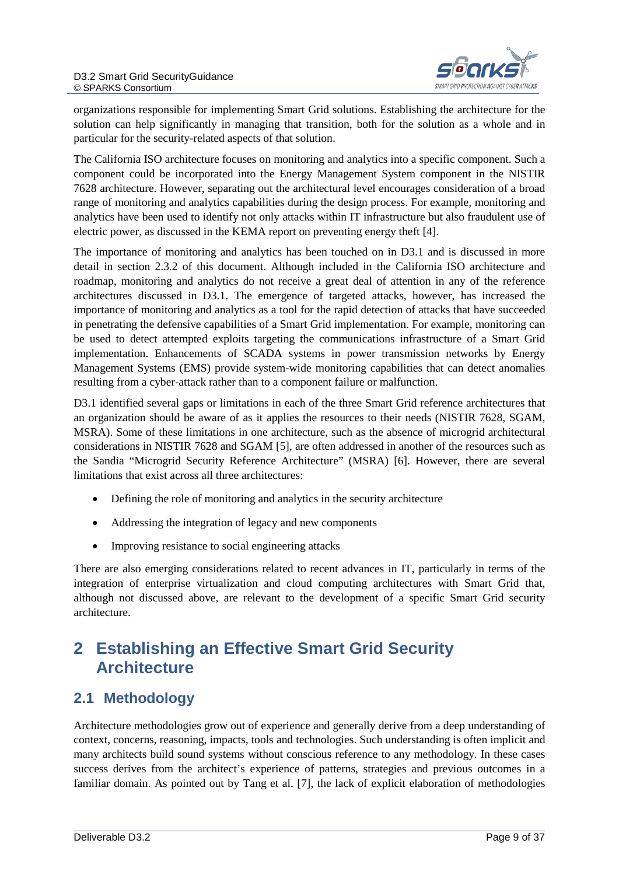

organizations responsible for implementing Smart Grid solutions. Establishing the architecture for the solution can help significantly in managing that transition, both for the solution as a whole and in particular for the security-related aspects of that solution.

The California ISO architecture focuses on monitoring and analytics into a specific component. Such a component could be incorporated into the Energy Management System component in the NISTIR 7628 architecture. However, separating out the architectural level encourages consideration of a broad range of monitoring and analytics capabilities during the design process. For example, monitoring and analytics have been used to identify not only attacks within IT infrastructure but also fraudulent use of electric power, as discussed in the KEMA report on preventing energy theft [4].

The importance of monitoring and analytics has been touched on in D3.1 and is discussed in more detail in section [2.3.2](#page-12-2) of this document. Although included in the California ISO architecture and roadmap, monitoring and analytics do not receive a great deal of attention in any of the reference architectures discussed in D3.1. The emergence of targeted attacks, however, has increased the importance of monitoring and analytics as a tool for the rapid detection of attacks that have succeeded in penetrating the defensive capabilities of a Smart Grid implementation. For example, monitoring can be used to detect attempted exploits targeting the communications infrastructure of a Smart Grid implementation. Enhancements of SCADA systems in power transmission networks by Energy Management Systems (EMS) provide system-wide monitoring capabilities that can detect anomalies resulting from a cyber-attack rather than to a component failure or malfunction.

D3.1 identified several gaps or limitations in each of the three Smart Grid reference architectures that an organization should be aware of as it applies the resources to their needs (NISTIR 7628, SGAM, MSRA). Some of these limitations in one architecture, such as the absence of microgrid architectural considerations in NISTIR 7628 and SGAM [5], are often addressed in another of the resources such as the Sandia "Microgrid Security Reference Architecture" (MSRA) [6]. However, there are several limitations that exist across all three architectures:

- Defining the role of monitoring and analytics in the security architecture
- Addressing the integration of legacy and new components
- Improving resistance to social engineering attacks

There are also emerging considerations related to recent advances in IT, particularly in terms of the integration of enterprise virtualization and cloud computing architectures with Smart Grid that, although not discussed above, are relevant to the development of a specific Smart Grid security architecture.

# <span id="page-8-0"></span>**2 Establishing an Effective Smart Grid Security Architecture**

### <span id="page-8-1"></span>**2.1 Methodology**

Architecture methodologies grow out of experience and generally derive from a deep understanding of context, concerns, reasoning, impacts, tools and technologies. Such understanding is often implicit and many architects build sound systems without conscious reference to any methodology. In these cases success derives from the architect's experience of patterns, strategies and previous outcomes in a familiar domain. As pointed out by Tang et al. [7], the lack of explicit elaboration of methodologies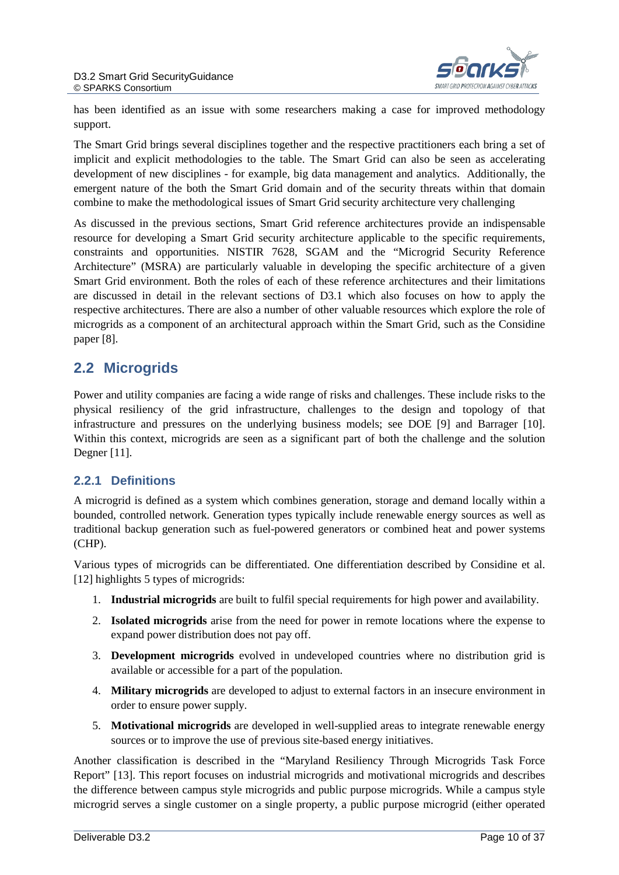

has been identified as an issue with some researchers making a case for improved methodology support.

The Smart Grid brings several disciplines together and the respective practitioners each bring a set of implicit and explicit methodologies to the table. The Smart Grid can also be seen as accelerating development of new disciplines - for example, big data management and analytics. Additionally, the emergent nature of the both the Smart Grid domain and of the security threats within that domain combine to make the methodological issues of Smart Grid security architecture very challenging

As discussed in the previous sections, Smart Grid reference architectures provide an indispensable resource for developing a Smart Grid security architecture applicable to the specific requirements, constraints and opportunities. NISTIR 7628, SGAM and the "Microgrid Security Reference Architecture" (MSRA) are particularly valuable in developing the specific architecture of a given Smart Grid environment. Both the roles of each of these reference architectures and their limitations are discussed in detail in the relevant sections of D3.1 which also focuses on how to apply the respective architectures. There are also a number of other valuable resources which explore the role of microgrids as a component of an architectural approach within the Smart Grid, such as the Considine paper [8].

### <span id="page-9-0"></span>**2.2 Microgrids**

Power and utility companies are facing a wide range of risks and challenges. These include risks to the physical resiliency of the grid infrastructure, challenges to the design and topology of that infrastructure and pressures on the underlying business models; see DOE [9] and Barrager [10]. Within this context, microgrids are seen as a significant part of both the challenge and the solution Degner [11].

### <span id="page-9-1"></span>**2.2.1 Definitions**

A microgrid is defined as a system which combines generation, storage and demand locally within a bounded, controlled network. Generation types typically include renewable energy sources as well as traditional backup generation such as fuel-powered generators or combined heat and power systems (CHP).

Various types of microgrids can be differentiated. One differentiation described by Considine et al. [12] highlights 5 types of microgrids:

- 1. **Industrial microgrids** are built to fulfil special requirements for high power and availability.
- 2. **Isolated microgrids** arise from the need for power in remote locations where the expense to expand power distribution does not pay off.
- 3. **Development microgrids** evolved in undeveloped countries where no distribution grid is available or accessible for a part of the population.
- 4. **Military microgrids** are developed to adjust to external factors in an insecure environment in order to ensure power supply.
- 5. **Motivational microgrids** are developed in well-supplied areas to integrate renewable energy sources or to improve the use of previous site-based energy initiatives.

Another classification is described in the "Maryland Resiliency Through Microgrids Task Force Report" [13]. This report focuses on industrial microgrids and motivational microgrids and describes the difference between campus style microgrids and public purpose microgrids. While a campus style microgrid serves a single customer on a single property, a public purpose microgrid (either operated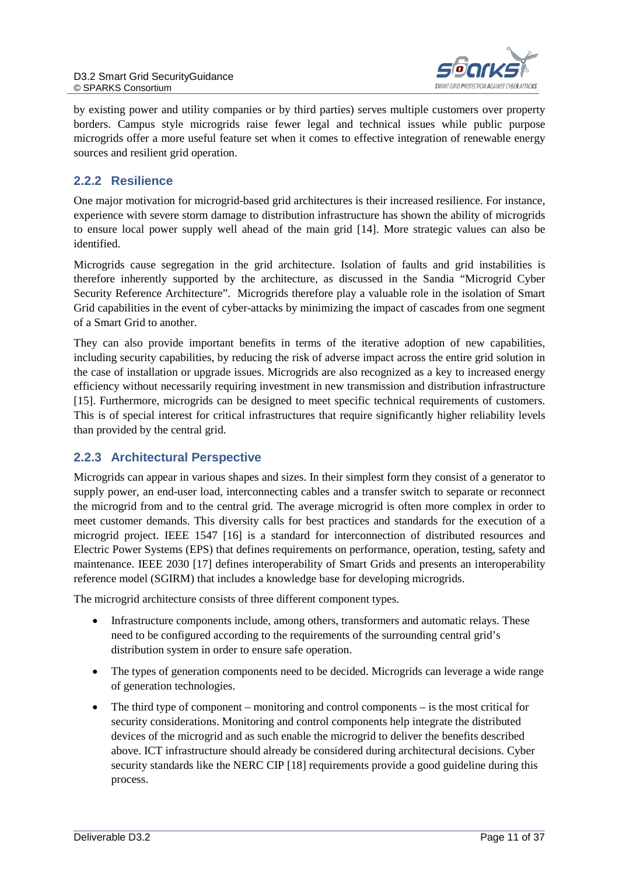

by existing power and utility companies or by third parties) serves multiple customers over property borders. Campus style microgrids raise fewer legal and technical issues while public purpose microgrids offer a more useful feature set when it comes to effective integration of renewable energy sources and resilient grid operation.

#### <span id="page-10-0"></span>**2.2.2 Resilience**

One major motivation for microgrid-based grid architectures is their increased resilience. For instance, experience with severe storm damage to distribution infrastructure has shown the ability of microgrids to ensure local power supply well ahead of the main grid [14]. More strategic values can also be identified.

Microgrids cause segregation in the grid architecture. Isolation of faults and grid instabilities is therefore inherently supported by the architecture, as discussed in the Sandia "Microgrid Cyber Security Reference Architecture". Microgrids therefore play a valuable role in the isolation of Smart Grid capabilities in the event of cyber-attacks by minimizing the impact of cascades from one segment of a Smart Grid to another.

They can also provide important benefits in terms of the iterative adoption of new capabilities, including security capabilities, by reducing the risk of adverse impact across the entire grid solution in the case of installation or upgrade issues. Microgrids are also recognized as a key to increased energy efficiency without necessarily requiring investment in new transmission and distribution infrastructure [15]. Furthermore, microgrids can be designed to meet specific technical requirements of customers. This is of special interest for critical infrastructures that require significantly higher reliability levels than provided by the central grid.

#### <span id="page-10-1"></span>**2.2.3 Architectural Perspective**

Microgrids can appear in various shapes and sizes. In their simplest form they consist of a generator to supply power, an end-user load, interconnecting cables and a transfer switch to separate or reconnect the microgrid from and to the central grid. The average microgrid is often more complex in order to meet customer demands. This diversity calls for best practices and standards for the execution of a microgrid project. IEEE 1547 [16] is a standard for interconnection of distributed resources and Electric Power Systems (EPS) that defines requirements on performance, operation, testing, safety and maintenance. IEEE 2030 [17] defines interoperability of Smart Grids and presents an interoperability reference model (SGIRM) that includes a knowledge base for developing microgrids.

The microgrid architecture consists of three different component types.

- Infrastructure components include, among others, transformers and automatic relays. These need to be configured according to the requirements of the surrounding central grid's distribution system in order to ensure safe operation.
- The types of generation components need to be decided. Microgrids can leverage a wide range of generation technologies.
- The third type of component monitoring and control components is the most critical for security considerations. Monitoring and control components help integrate the distributed devices of the microgrid and as such enable the microgrid to deliver the benefits described above. ICT infrastructure should already be considered during architectural decisions. Cyber security standards like the NERC CIP [18] requirements provide a good guideline during this process.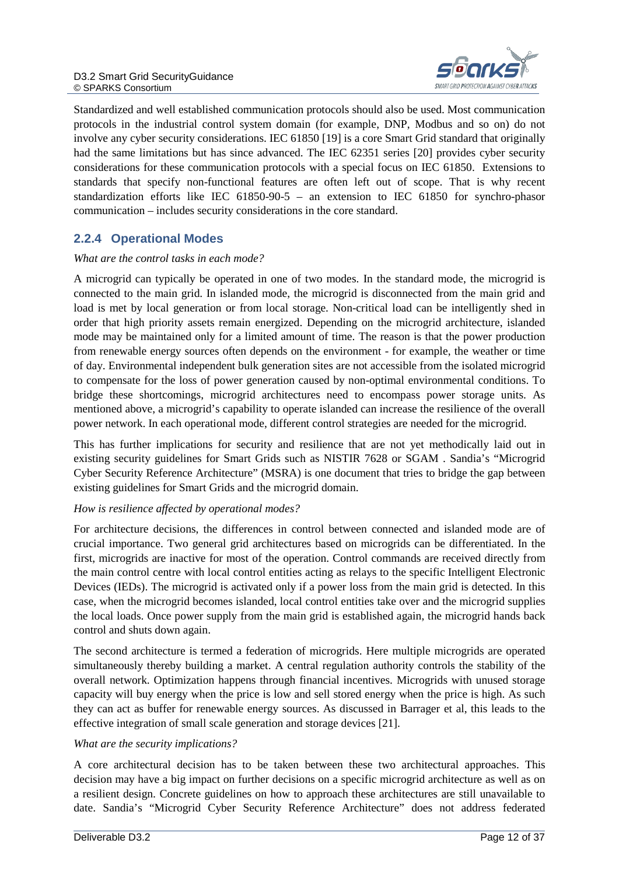

Standardized and well established communication protocols should also be used. Most communication protocols in the industrial control system domain (for example, DNP, Modbus and so on) do not involve any cyber security considerations. IEC 61850 [19] is a core Smart Grid standard that originally had the same limitations but has since advanced. The IEC 62351 series [20] provides cyber security considerations for these communication protocols with a special focus on IEC 61850. Extensions to standards that specify non-functional features are often left out of scope. That is why recent standardization efforts like IEC 61850-90-5 – an extension to IEC 61850 for synchro-phasor communication – includes security considerations in the core standard.

#### <span id="page-11-0"></span>**2.2.4 Operational Modes**

#### *What are the control tasks in each mode?*

A microgrid can typically be operated in one of two modes. In the standard mode, the microgrid is connected to the main grid. In islanded mode, the microgrid is disconnected from the main grid and load is met by local generation or from local storage. Non-critical load can be intelligently shed in order that high priority assets remain energized. Depending on the microgrid architecture, islanded mode may be maintained only for a limited amount of time. The reason is that the power production from renewable energy sources often depends on the environment - for example, the weather or time of day. Environmental independent bulk generation sites are not accessible from the isolated microgrid to compensate for the loss of power generation caused by non-optimal environmental conditions. To bridge these shortcomings, microgrid architectures need to encompass power storage units. As mentioned above, a microgrid's capability to operate islanded can increase the resilience of the overall power network. In each operational mode, different control strategies are needed for the microgrid.

This has further implications for security and resilience that are not yet methodically laid out in existing security guidelines for Smart Grids such as NISTIR 7628 or SGAM . Sandia's "Microgrid Cyber Security Reference Architecture" (MSRA) is one document that tries to bridge the gap between existing guidelines for Smart Grids and the microgrid domain.

#### *How is resilience affected by operational modes?*

For architecture decisions, the differences in control between connected and islanded mode are of crucial importance. Two general grid architectures based on microgrids can be differentiated. In the first, microgrids are inactive for most of the operation. Control commands are received directly from the main control centre with local control entities acting as relays to the specific Intelligent Electronic Devices (IEDs). The microgrid is activated only if a power loss from the main grid is detected. In this case, when the microgrid becomes islanded, local control entities take over and the microgrid supplies the local loads. Once power supply from the main grid is established again, the microgrid hands back control and shuts down again.

The second architecture is termed a federation of microgrids. Here multiple microgrids are operated simultaneously thereby building a market. A central regulation authority controls the stability of the overall network. Optimization happens through financial incentives. Microgrids with unused storage capacity will buy energy when the price is low and sell stored energy when the price is high. As such they can act as buffer for renewable energy sources. As discussed in Barrager et al, this leads to the effective integration of small scale generation and storage devices [21].

#### *What are the security implications?*

A core architectural decision has to be taken between these two architectural approaches. This decision may have a big impact on further decisions on a specific microgrid architecture as well as on a resilient design. Concrete guidelines on how to approach these architectures are still unavailable to date. Sandia's "Microgrid Cyber Security Reference Architecture" does not address federated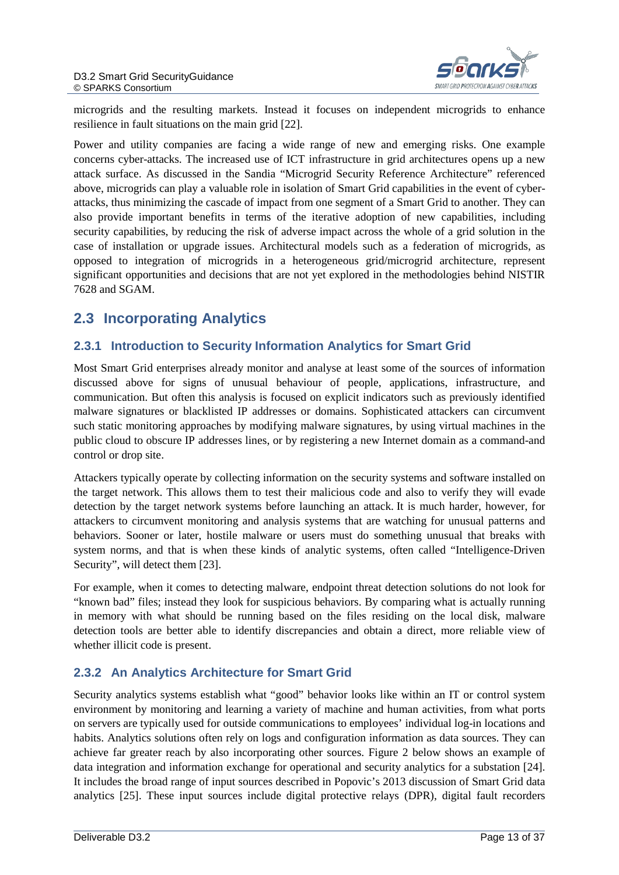

microgrids and the resulting markets. Instead it focuses on independent microgrids to enhance resilience in fault situations on the main grid [22].

Power and utility companies are facing a wide range of new and emerging risks. One example concerns cyber-attacks. The increased use of ICT infrastructure in grid architectures opens up a new attack surface. As discussed in the Sandia "Microgrid Security Reference Architecture" referenced above, microgrids can play a valuable role in isolation of Smart Grid capabilities in the event of cyberattacks, thus minimizing the cascade of impact from one segment of a Smart Grid to another. They can also provide important benefits in terms of the iterative adoption of new capabilities, including security capabilities, by reducing the risk of adverse impact across the whole of a grid solution in the case of installation or upgrade issues. Architectural models such as a federation of microgrids, as opposed to integration of microgrids in a heterogeneous grid/microgrid architecture, represent significant opportunities and decisions that are not yet explored in the methodologies behind NISTIR 7628 and SGAM.

### <span id="page-12-0"></span>**2.3 Incorporating Analytics**

#### <span id="page-12-1"></span>**2.3.1 Introduction to Security Information Analytics for Smart Grid**

Most Smart Grid enterprises already monitor and analyse at least some of the sources of information discussed above for signs of unusual behaviour of people, applications, infrastructure, and communication. But often this analysis is focused on explicit indicators such as previously identified malware signatures or blacklisted IP addresses or domains. Sophisticated attackers can circumvent such static monitoring approaches by modifying malware signatures, by using virtual machines in the public cloud to obscure IP addresses lines, or by registering a new Internet domain as a command-and control or drop site.

Attackers typically operate by collecting information on the security systems and software installed on the target network. This allows them to test their malicious code and also to verify they will evade detection by the target network systems before launching an attack. It is much harder, however, for attackers to circumvent monitoring and analysis systems that are watching for unusual patterns and behaviors. Sooner or later, hostile malware or users must do something unusual that breaks with system norms, and that is when these kinds of analytic systems, often called "Intelligence-Driven Security", will detect them [23].

For example, when it comes to detecting malware, endpoint threat detection solutions do not look for "known bad" files; instead they look for suspicious behaviors. By comparing what is actually running in memory with what should be running based on the files residing on the local disk, malware detection tools are better able to identify discrepancies and obtain a direct, more reliable view of whether illicit code is present.

#### <span id="page-12-2"></span>**2.3.2 An Analytics Architecture for Smart Grid**

Security analytics systems establish what "good" behavior looks like within an IT or control system environment by monitoring and learning a variety of machine and human activities, from what ports on servers are typically used for outside communications to employees' individual log-in locations and habits. Analytics solutions often rely on logs and configuration information as data sources. They can achieve far greater reach by also incorporating other sources. Figure 2 below shows an example of data integration and information exchange for operational and security analytics for a substation [24]. It includes the broad range of input sources described in Popovic's 2013 discussion of Smart Grid data analytics [25]. These input sources include digital protective relays (DPR), digital fault recorders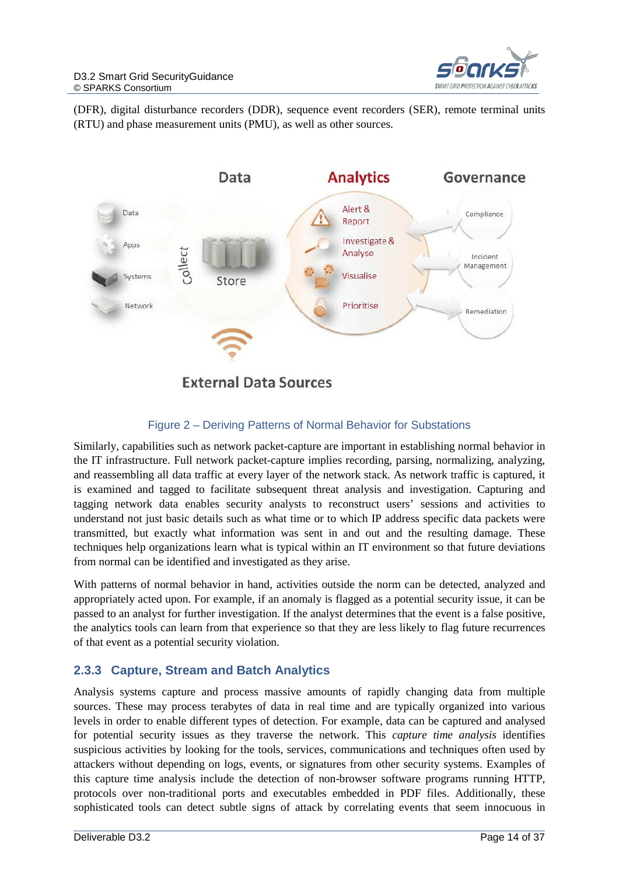

(DFR), digital disturbance recorders (DDR), sequence event recorders (SER), remote terminal units (RTU) and phase measurement units (PMU), as well as other sources.



#### Figure 2 – Deriving Patterns of Normal Behavior for Substations

<span id="page-13-1"></span>Similarly, capabilities such as network packet-capture are important in establishing normal behavior in the IT infrastructure. Full network packet-capture implies recording, parsing, normalizing, analyzing, and reassembling all data traffic at every layer of the network stack. As network traffic is captured, it is examined and tagged to facilitate subsequent threat analysis and investigation. Capturing and tagging network data enables security analysts to reconstruct users' sessions and activities to understand not just basic details such as what time or to which IP address specific data packets were transmitted, but exactly what information was sent in and out and the resulting damage. These techniques help organizations learn what is typical within an IT environment so that future deviations from normal can be identified and investigated as they arise.

With patterns of normal behavior in hand, activities outside the norm can be detected, analyzed and appropriately acted upon. For example, if an anomaly is flagged as a potential security issue, it can be passed to an analyst for further investigation. If the analyst determines that the event is a false positive, the analytics tools can learn from that experience so that they are less likely to flag future recurrences of that event as a potential security violation.

#### <span id="page-13-0"></span>**2.3.3 Capture, Stream and Batch Analytics**

Analysis systems capture and process massive amounts of rapidly changing data from multiple sources. These may process terabytes of data in real time and are typically organized into various levels in order to enable different types of detection. For example, data can be captured and analysed for potential security issues as they traverse the network. This *capture time analysis* identifies suspicious activities by looking for the tools, services, communications and techniques often used by attackers without depending on logs, events, or signatures from other security systems. Examples of this capture time analysis include the detection of non-browser software programs running HTTP, protocols over non-traditional ports and executables embedded in PDF files. Additionally, these sophisticated tools can detect subtle signs of attack by correlating events that seem innocuous in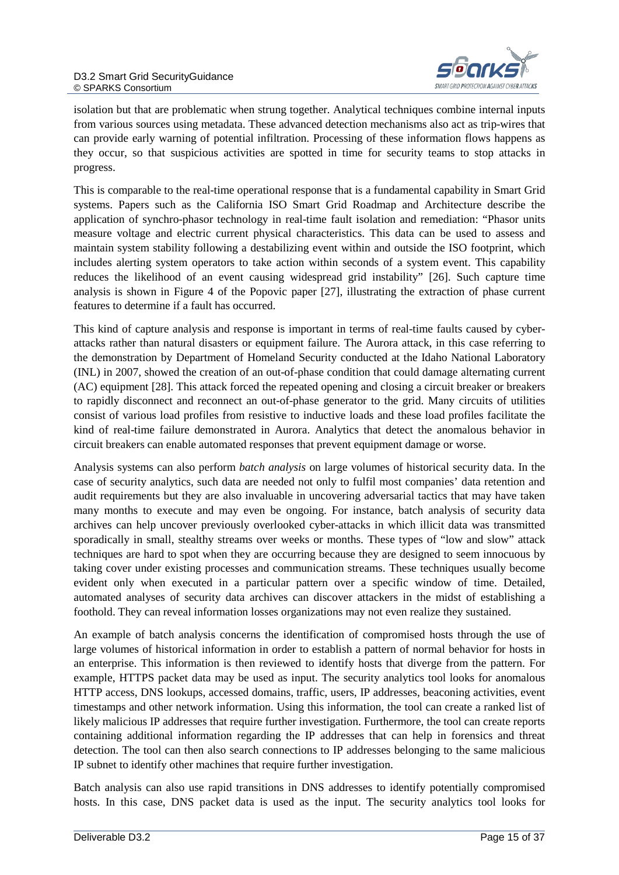

isolation but that are problematic when strung together. Analytical techniques combine internal inputs from various sources using metadata. These advanced detection mechanisms also act as trip-wires that can provide early warning of potential infiltration. Processing of these information flows happens as they occur, so that suspicious activities are spotted in time for security teams to stop attacks in progress.

This is comparable to the real-time operational response that is a fundamental capability in Smart Grid systems. Papers such as the California ISO Smart Grid Roadmap and Architecture describe the application of synchro-phasor technology in real-time fault isolation and remediation: "Phasor units measure voltage and electric current physical characteristics. This data can be used to assess and maintain system stability following a destabilizing event within and outside the ISO footprint, which includes alerting system operators to take action within seconds of a system event. This capability reduces the likelihood of an event causing widespread grid instability" [26]. Such capture time analysis is shown in Figure 4 of the Popovic paper [27], illustrating the extraction of phase current features to determine if a fault has occurred.

This kind of capture analysis and response is important in terms of real-time faults caused by cyberattacks rather than natural disasters or equipment failure. The Aurora attack, in this case referring to the demonstration by Department of Homeland Security conducted at the Idaho National Laboratory (INL) in 2007, showed the creation of an out-of-phase condition that could damage alternating current (AC) equipment [28]. This attack forced the repeated opening and closing a circuit breaker or breakers to rapidly disconnect and reconnect an out-of-phase generator to the grid. Many circuits of utilities consist of various load profiles from resistive to inductive loads and these load profiles facilitate the kind of real-time failure demonstrated in Aurora. Analytics that detect the anomalous behavior in circuit breakers can enable automated responses that prevent equipment damage or worse.

Analysis systems can also perform *batch analysis* on large volumes of historical security data. In the case of security analytics, such data are needed not only to fulfil most companies' data retention and audit requirements but they are also invaluable in uncovering adversarial tactics that may have taken many months to execute and may even be ongoing. For instance, batch analysis of security data archives can help uncover previously overlooked cyber-attacks in which illicit data was transmitted sporadically in small, stealthy streams over weeks or months. These types of "low and slow" attack techniques are hard to spot when they are occurring because they are designed to seem innocuous by taking cover under existing processes and communication streams. These techniques usually become evident only when executed in a particular pattern over a specific window of time. Detailed, automated analyses of security data archives can discover attackers in the midst of establishing a foothold. They can reveal information losses organizations may not even realize they sustained.

An example of batch analysis concerns the identification of compromised hosts through the use of large volumes of historical information in order to establish a pattern of normal behavior for hosts in an enterprise. This information is then reviewed to identify hosts that diverge from the pattern. For example, HTTPS packet data may be used as input. The security analytics tool looks for anomalous HTTP access, DNS lookups, accessed domains, traffic, users, IP addresses, beaconing activities, event timestamps and other network information. Using this information, the tool can create a ranked list of likely malicious IP addresses that require further investigation. Furthermore, the tool can create reports containing additional information regarding the IP addresses that can help in forensics and threat detection. The tool can then also search connections to IP addresses belonging to the same malicious IP subnet to identify other machines that require further investigation.

Batch analysis can also use rapid transitions in DNS addresses to identify potentially compromised hosts. In this case, DNS packet data is used as the input. The security analytics tool looks for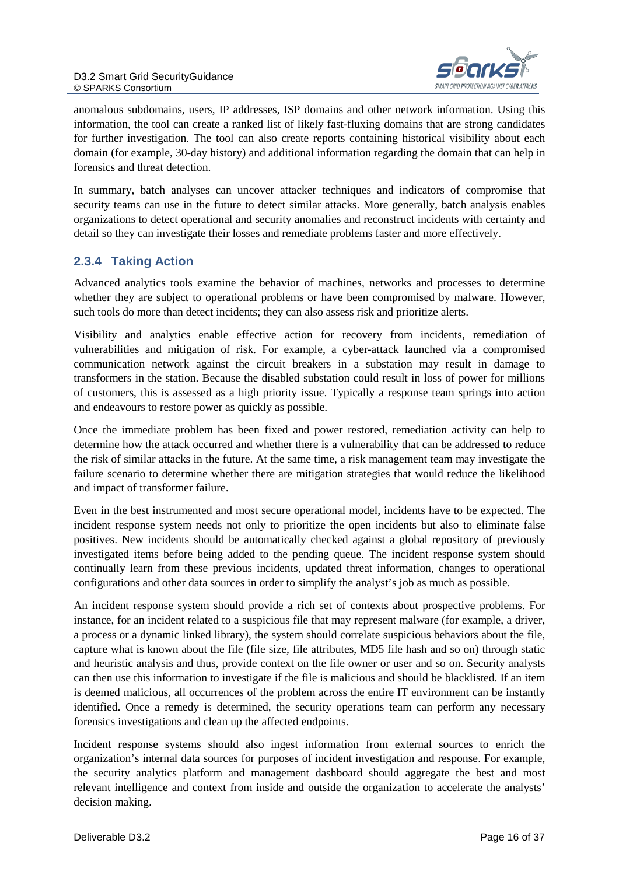

anomalous subdomains, users, IP addresses, ISP domains and other network information. Using this information, the tool can create a ranked list of likely fast-fluxing domains that are strong candidates for further investigation. The tool can also create reports containing historical visibility about each domain (for example, 30-day history) and additional information regarding the domain that can help in forensics and threat detection.

In summary, batch analyses can uncover attacker techniques and indicators of compromise that security teams can use in the future to detect similar attacks. More generally, batch analysis enables organizations to detect operational and security anomalies and reconstruct incidents with certainty and detail so they can investigate their losses and remediate problems faster and more effectively.

#### <span id="page-15-0"></span>**2.3.4 Taking Action**

Advanced analytics tools examine the behavior of machines, networks and processes to determine whether they are subject to operational problems or have been compromised by malware. However, such tools do more than detect incidents; they can also assess risk and prioritize alerts.

Visibility and analytics enable effective action for recovery from incidents, remediation of vulnerabilities and mitigation of risk. For example, a cyber-attack launched via a compromised communication network against the circuit breakers in a substation may result in damage to transformers in the station. Because the disabled substation could result in loss of power for millions of customers, this is assessed as a high priority issue. Typically a response team springs into action and endeavours to restore power as quickly as possible.

Once the immediate problem has been fixed and power restored, remediation activity can help to determine how the attack occurred and whether there is a vulnerability that can be addressed to reduce the risk of similar attacks in the future. At the same time, a risk management team may investigate the failure scenario to determine whether there are mitigation strategies that would reduce the likelihood and impact of transformer failure.

Even in the best instrumented and most secure operational model, incidents have to be expected. The incident response system needs not only to prioritize the open incidents but also to eliminate false positives. New incidents should be automatically checked against a global repository of previously investigated items before being added to the pending queue. The incident response system should continually learn from these previous incidents, updated threat information, changes to operational configurations and other data sources in order to simplify the analyst's job as much as possible.

An incident response system should provide a rich set of contexts about prospective problems. For instance, for an incident related to a suspicious file that may represent malware (for example, a driver, a process or a dynamic linked library), the system should correlate suspicious behaviors about the file, capture what is known about the file (file size, file attributes, MD5 file hash and so on) through static and heuristic analysis and thus, provide context on the file owner or user and so on. Security analysts can then use this information to investigate if the file is malicious and should be blacklisted. If an item is deemed malicious, all occurrences of the problem across the entire IT environment can be instantly identified. Once a remedy is determined, the security operations team can perform any necessary forensics investigations and clean up the affected endpoints.

Incident response systems should also ingest information from external sources to enrich the organization's internal data sources for purposes of incident investigation and response. For example, the security analytics platform and management dashboard should aggregate the best and most relevant intelligence and context from inside and outside the organization to accelerate the analysts' decision making.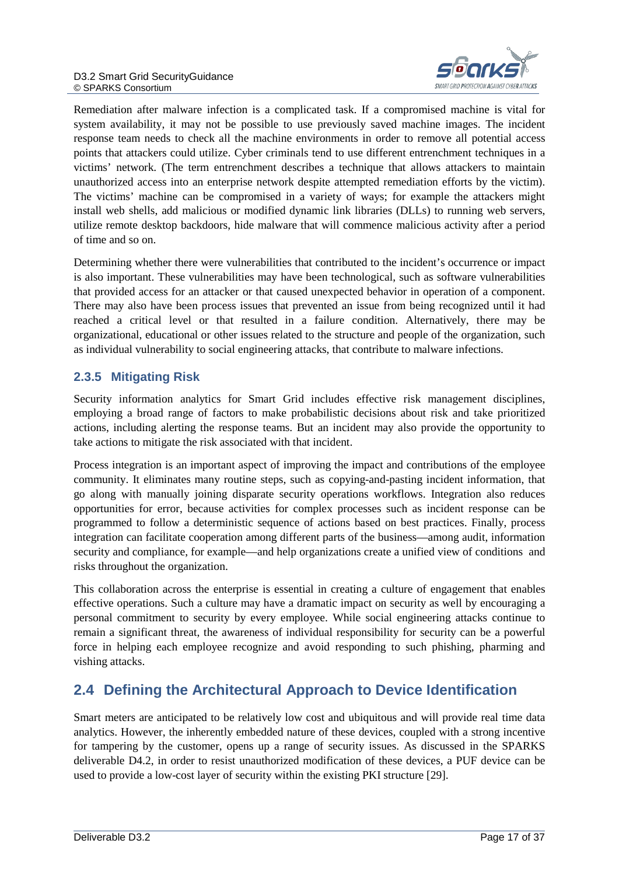

Remediation after malware infection is a complicated task. If a compromised machine is vital for system availability, it may not be possible to use previously saved machine images. The incident response team needs to check all the machine environments in order to remove all potential access points that attackers could utilize. Cyber criminals tend to use different entrenchment techniques in a victims' network. (The term entrenchment describes a technique that allows attackers to maintain unauthorized access into an enterprise network despite attempted remediation efforts by the victim). The victims' machine can be compromised in a variety of ways; for example the attackers might install web shells, add malicious or modified dynamic link libraries (DLLs) to running web servers, utilize remote desktop backdoors, hide malware that will commence malicious activity after a period of time and so on.

Determining whether there were vulnerabilities that contributed to the incident's occurrence or impact is also important. These vulnerabilities may have been technological, such as software vulnerabilities that provided access for an attacker or that caused unexpected behavior in operation of a component. There may also have been process issues that prevented an issue from being recognized until it had reached a critical level or that resulted in a failure condition. Alternatively, there may be organizational, educational or other issues related to the structure and people of the organization, such as individual vulnerability to social engineering attacks, that contribute to malware infections.

#### <span id="page-16-0"></span>**2.3.5 Mitigating Risk**

Security information analytics for Smart Grid includes effective risk management disciplines, employing a broad range of factors to make probabilistic decisions about risk and take prioritized actions, including alerting the response teams. But an incident may also provide the opportunity to take actions to mitigate the risk associated with that incident.

Process integration is an important aspect of improving the impact and contributions of the employee community. It eliminates many routine steps, such as copying-and-pasting incident information, that go along with manually joining disparate security operations workflows. Integration also reduces opportunities for error, because activities for complex processes such as incident response can be programmed to follow a deterministic sequence of actions based on best practices. Finally, process integration can facilitate cooperation among different parts of the business—among audit, information security and compliance, for example—and help organizations create a unified view of conditions and risks throughout the organization.

This collaboration across the enterprise is essential in creating a culture of engagement that enables effective operations. Such a culture may have a dramatic impact on security as well by encouraging a personal commitment to security by every employee. While social engineering attacks continue to remain a significant threat, the awareness of individual responsibility for security can be a powerful force in helping each employee recognize and avoid responding to such phishing, pharming and vishing attacks.

# <span id="page-16-1"></span>**2.4 Defining the Architectural Approach to Device Identification**

Smart meters are anticipated to be relatively low cost and ubiquitous and will provide real time data analytics. However, the inherently embedded nature of these devices, coupled with a strong incentive for tampering by the customer, opens up a range of security issues. As discussed in the SPARKS deliverable D4.2, in order to resist unauthorized modification of these devices, a PUF device can be used to provide a low-cost layer of security within the existing PKI structure [29].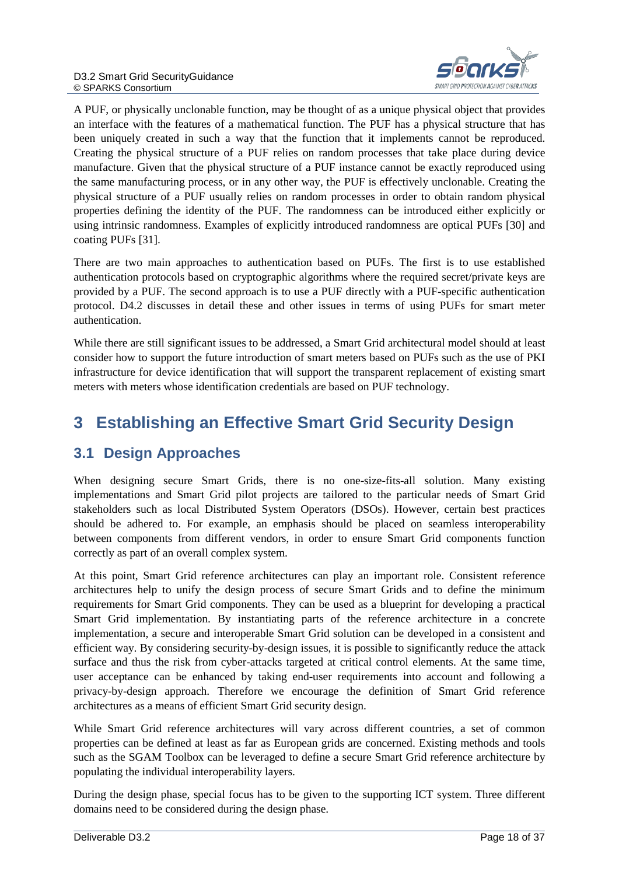

A PUF, or physically unclonable function, may be thought of as a unique physical object that provides an interface with the features of a mathematical function. The PUF has a physical structure that has been uniquely created in such a way that the function that it implements cannot be reproduced. Creating the physical structure of a PUF relies on random processes that take place during device manufacture. Given that the physical structure of a PUF instance cannot be exactly reproduced using the same manufacturing process, or in any other way, the PUF is effectively unclonable. Creating the physical structure of a PUF usually relies on random processes in order to obtain random physical properties defining the identity of the PUF. The randomness can be introduced either explicitly or using intrinsic randomness. Examples of explicitly introduced randomness are optical PUFs [30] and coating PUFs [31].

There are two main approaches to authentication based on PUFs. The first is to use established authentication protocols based on cryptographic algorithms where the required secret/private keys are provided by a PUF. The second approach is to use a PUF directly with a PUF-specific authentication protocol. D4.2 discusses in detail these and other issues in terms of using PUFs for smart meter authentication.

While there are still significant issues to be addressed, a Smart Grid architectural model should at least consider how to support the future introduction of smart meters based on PUFs such as the use of PKI infrastructure for device identification that will support the transparent replacement of existing smart meters with meters whose identification credentials are based on PUF technology.

# <span id="page-17-0"></span>**3 Establishing an Effective Smart Grid Security Design**

### <span id="page-17-1"></span>**3.1 Design Approaches**

When designing secure Smart Grids, there is no one-size-fits-all solution. Many existing implementations and Smart Grid pilot projects are tailored to the particular needs of Smart Grid stakeholders such as local Distributed System Operators (DSOs). However, certain best practices should be adhered to. For example, an emphasis should be placed on seamless interoperability between components from different vendors, in order to ensure Smart Grid components function correctly as part of an overall complex system.

At this point, Smart Grid reference architectures can play an important role. Consistent reference architectures help to unify the design process of secure Smart Grids and to define the minimum requirements for Smart Grid components. They can be used as a blueprint for developing a practical Smart Grid implementation. By instantiating parts of the reference architecture in a concrete implementation, a secure and interoperable Smart Grid solution can be developed in a consistent and efficient way. By considering security-by-design issues, it is possible to significantly reduce the attack surface and thus the risk from cyber-attacks targeted at critical control elements. At the same time, user acceptance can be enhanced by taking end-user requirements into account and following a privacy-by-design approach. Therefore we encourage the definition of Smart Grid reference architectures as a means of efficient Smart Grid security design.

While Smart Grid reference architectures will vary across different countries, a set of common properties can be defined at least as far as European grids are concerned. Existing methods and tools such as the SGAM Toolbox can be leveraged to define a secure Smart Grid reference architecture by populating the individual interoperability layers.

During the design phase, special focus has to be given to the supporting ICT system. Three different domains need to be considered during the design phase.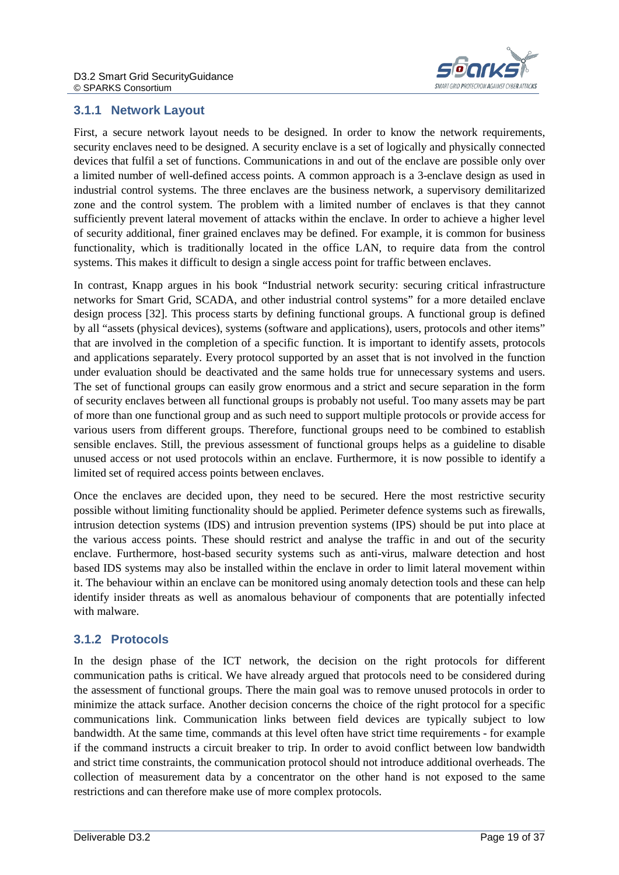

#### <span id="page-18-0"></span>**3.1.1 Network Layout**

First, a secure network layout needs to be designed. In order to know the network requirements, security enclaves need to be designed. A security enclave is a set of logically and physically connected devices that fulfil a set of functions. Communications in and out of the enclave are possible only over a limited number of well-defined access points. A common approach is a 3-enclave design as used in industrial control systems. The three enclaves are the business network, a supervisory demilitarized zone and the control system. The problem with a limited number of enclaves is that they cannot sufficiently prevent lateral movement of attacks within the enclave. In order to achieve a higher level of security additional, finer grained enclaves may be defined. For example, it is common for business functionality, which is traditionally located in the office LAN, to require data from the control systems. This makes it difficult to design a single access point for traffic between enclaves.

In contrast, Knapp argues in his book "Industrial network security: securing critical infrastructure networks for Smart Grid, SCADA, and other industrial control systems" for a more detailed enclave design process [32]. This process starts by defining functional groups. A functional group is defined by all "assets (physical devices), systems (software and applications), users, protocols and other items" that are involved in the completion of a specific function. It is important to identify assets, protocols and applications separately. Every protocol supported by an asset that is not involved in the function under evaluation should be deactivated and the same holds true for unnecessary systems and users. The set of functional groups can easily grow enormous and a strict and secure separation in the form of security enclaves between all functional groups is probably not useful. Too many assets may be part of more than one functional group and as such need to support multiple protocols or provide access for various users from different groups. Therefore, functional groups need to be combined to establish sensible enclaves. Still, the previous assessment of functional groups helps as a guideline to disable unused access or not used protocols within an enclave. Furthermore, it is now possible to identify a limited set of required access points between enclaves.

Once the enclaves are decided upon, they need to be secured. Here the most restrictive security possible without limiting functionality should be applied. Perimeter defence systems such as firewalls, intrusion detection systems (IDS) and intrusion prevention systems (IPS) should be put into place at the various access points. These should restrict and analyse the traffic in and out of the security enclave. Furthermore, host-based security systems such as anti-virus, malware detection and host based IDS systems may also be installed within the enclave in order to limit lateral movement within it. The behaviour within an enclave can be monitored using anomaly detection tools and these can help identify insider threats as well as anomalous behaviour of components that are potentially infected with malware.

#### <span id="page-18-1"></span>**3.1.2 Protocols**

In the design phase of the ICT network, the decision on the right protocols for different communication paths is critical. We have already argued that protocols need to be considered during the assessment of functional groups. There the main goal was to remove unused protocols in order to minimize the attack surface. Another decision concerns the choice of the right protocol for a specific communications link. Communication links between field devices are typically subject to low bandwidth. At the same time, commands at this level often have strict time requirements - for example if the command instructs a circuit breaker to trip. In order to avoid conflict between low bandwidth and strict time constraints, the communication protocol should not introduce additional overheads. The collection of measurement data by a concentrator on the other hand is not exposed to the same restrictions and can therefore make use of more complex protocols.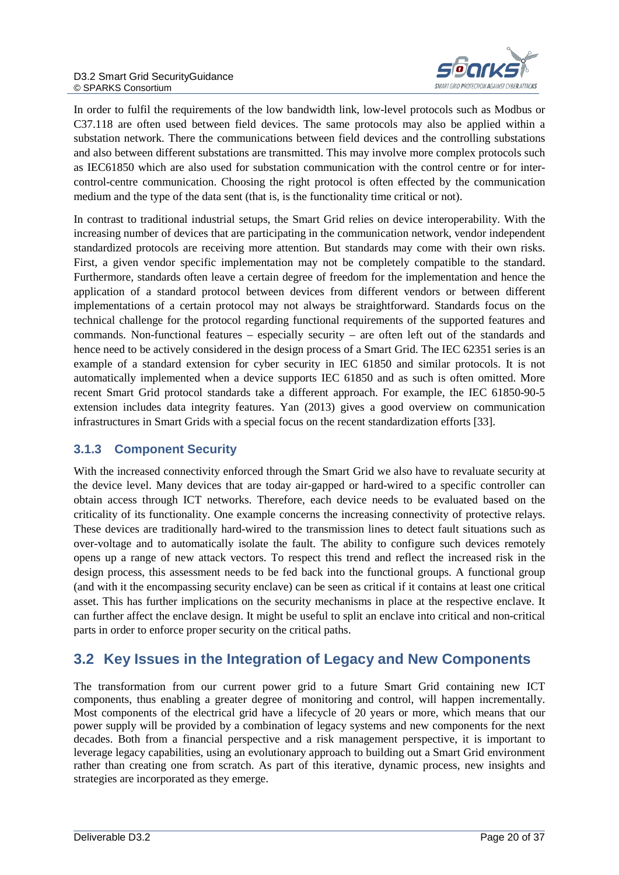

In order to fulfil the requirements of the low bandwidth link, low-level protocols such as Modbus or C37.118 are often used between field devices. The same protocols may also be applied within a substation network. There the communications between field devices and the controlling substations and also between different substations are transmitted. This may involve more complex protocols such as IEC61850 which are also used for substation communication with the control centre or for intercontrol-centre communication. Choosing the right protocol is often effected by the communication medium and the type of the data sent (that is, is the functionality time critical or not).

In contrast to traditional industrial setups, the Smart Grid relies on device interoperability. With the increasing number of devices that are participating in the communication network, vendor independent standardized protocols are receiving more attention. But standards may come with their own risks. First, a given vendor specific implementation may not be completely compatible to the standard. Furthermore, standards often leave a certain degree of freedom for the implementation and hence the application of a standard protocol between devices from different vendors or between different implementations of a certain protocol may not always be straightforward. Standards focus on the technical challenge for the protocol regarding functional requirements of the supported features and commands. Non-functional features – especially security – are often left out of the standards and hence need to be actively considered in the design process of a Smart Grid. The IEC 62351 series is an example of a standard extension for cyber security in IEC 61850 and similar protocols. It is not automatically implemented when a device supports IEC 61850 and as such is often omitted. More recent Smart Grid protocol standards take a different approach. For example, the IEC 61850-90-5 extension includes data integrity features. Yan (2013) gives a good overview on communication infrastructures in Smart Grids with a special focus on the recent standardization efforts [33].

#### <span id="page-19-0"></span>**3.1.3 Component Security**

With the increased connectivity enforced through the Smart Grid we also have to revaluate security at the device level. Many devices that are today air-gapped or hard-wired to a specific controller can obtain access through ICT networks. Therefore, each device needs to be evaluated based on the criticality of its functionality. One example concerns the increasing connectivity of protective relays. These devices are traditionally hard-wired to the transmission lines to detect fault situations such as over-voltage and to automatically isolate the fault. The ability to configure such devices remotely opens up a range of new attack vectors. To respect this trend and reflect the increased risk in the design process, this assessment needs to be fed back into the functional groups. A functional group (and with it the encompassing security enclave) can be seen as critical if it contains at least one critical asset. This has further implications on the security mechanisms in place at the respective enclave. It can further affect the enclave design. It might be useful to split an enclave into critical and non-critical parts in order to enforce proper security on the critical paths.

### <span id="page-19-1"></span>**3.2 Key Issues in the Integration of Legacy and New Components**

The transformation from our current power grid to a future Smart Grid containing new ICT components, thus enabling a greater degree of monitoring and control, will happen incrementally. Most components of the electrical grid have a lifecycle of 20 years or more, which means that our power supply will be provided by a combination of legacy systems and new components for the next decades. Both from a financial perspective and a risk management perspective, it is important to leverage legacy capabilities, using an evolutionary approach to building out a Smart Grid environment rather than creating one from scratch. As part of this iterative, dynamic process, new insights and strategies are incorporated as they emerge.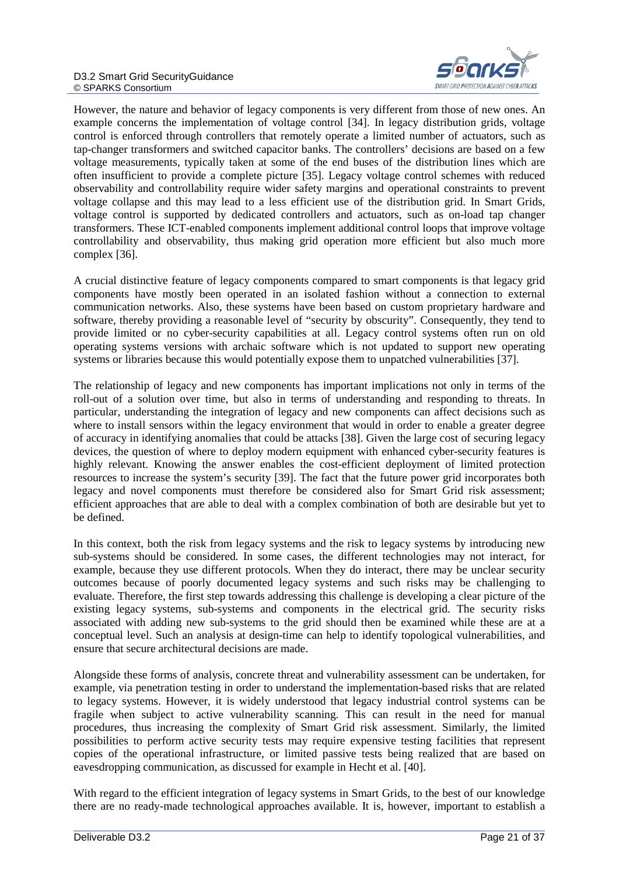

However, the nature and behavior of legacy components is very different from those of new ones. An example concerns the implementation of voltage control [34]. In legacy distribution grids, voltage control is enforced through controllers that remotely operate a limited number of actuators, such as tap-changer transformers and switched capacitor banks. The controllers' decisions are based on a few voltage measurements, typically taken at some of the end buses of the distribution lines which are often insufficient to provide a complete picture [35]. Legacy voltage control schemes with reduced observability and controllability require wider safety margins and operational constraints to prevent voltage collapse and this may lead to a less efficient use of the distribution grid. In Smart Grids, voltage control is supported by dedicated controllers and actuators, such as on-load tap changer transformers. These ICT-enabled components implement additional control loops that improve voltage controllability and observability, thus making grid operation more efficient but also much more complex [36].

A crucial distinctive feature of legacy components compared to smart components is that legacy grid components have mostly been operated in an isolated fashion without a connection to external communication networks. Also, these systems have been based on custom proprietary hardware and software, thereby providing a reasonable level of "security by obscurity". Consequently, they tend to provide limited or no cyber-security capabilities at all. Legacy control systems often run on old operating systems versions with archaic software which is not updated to support new operating systems or libraries because this would potentially expose them to unpatched vulnerabilities [37].

The relationship of legacy and new components has important implications not only in terms of the roll-out of a solution over time, but also in terms of understanding and responding to threats. In particular, understanding the integration of legacy and new components can affect decisions such as where to install sensors within the legacy environment that would in order to enable a greater degree of accuracy in identifying anomalies that could be attacks [38]. Given the large cost of securing legacy devices, the question of where to deploy modern equipment with enhanced cyber-security features is highly relevant. Knowing the answer enables the cost-efficient deployment of limited protection resources to increase the system's security [39]. The fact that the future power grid incorporates both legacy and novel components must therefore be considered also for Smart Grid risk assessment; efficient approaches that are able to deal with a complex combination of both are desirable but yet to be defined.

In this context, both the risk from legacy systems and the risk to legacy systems by introducing new sub-systems should be considered. In some cases, the different technologies may not interact, for example, because they use different protocols. When they do interact, there may be unclear security outcomes because of poorly documented legacy systems and such risks may be challenging to evaluate. Therefore, the first step towards addressing this challenge is developing a clear picture of the existing legacy systems, sub-systems and components in the electrical grid. The security risks associated with adding new sub-systems to the grid should then be examined while these are at a conceptual level. Such an analysis at design-time can help to identify topological vulnerabilities, and ensure that secure architectural decisions are made.

Alongside these forms of analysis, concrete threat and vulnerability assessment can be undertaken, for example, via penetration testing in order to understand the implementation-based risks that are related to legacy systems. However, it is widely understood that legacy industrial control systems can be fragile when subject to active vulnerability scanning. This can result in the need for manual procedures, thus increasing the complexity of Smart Grid risk assessment. Similarly, the limited possibilities to perform active security tests may require expensive testing facilities that represent copies of the operational infrastructure, or limited passive tests being realized that are based on eavesdropping communication, as discussed for example in Hecht et al. [40].

With regard to the efficient integration of legacy systems in Smart Grids, to the best of our knowledge there are no ready-made technological approaches available. It is, however, important to establish a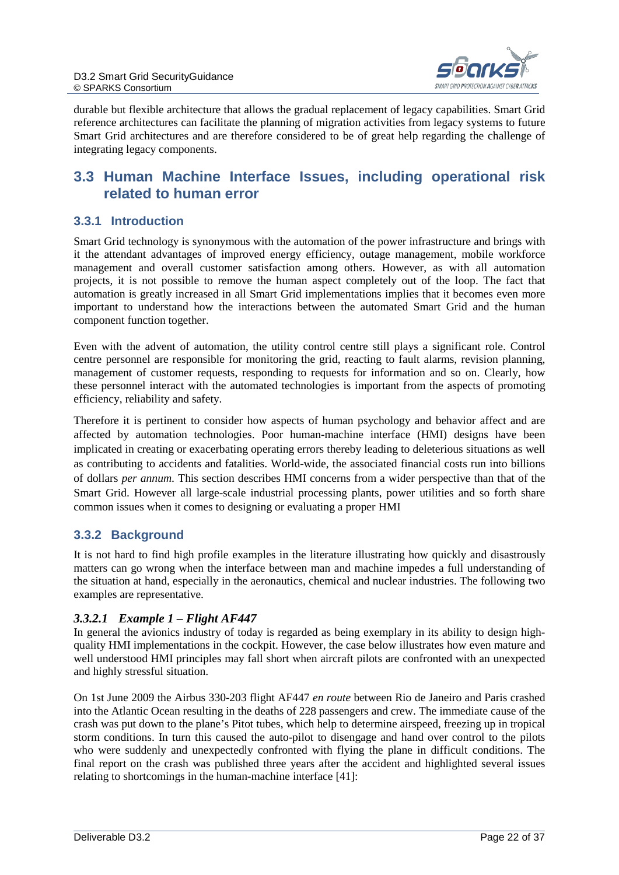

durable but flexible architecture that allows the gradual replacement of legacy capabilities. Smart Grid reference architectures can facilitate the planning of migration activities from legacy systems to future Smart Grid architectures and are therefore considered to be of great help regarding the challenge of integrating legacy components.

### <span id="page-21-0"></span>**3.3 Human Machine Interface Issues, including operational risk related to human error**

#### <span id="page-21-1"></span>**3.3.1 Introduction**

Smart Grid technology is synonymous with the automation of the power infrastructure and brings with it the attendant advantages of improved energy efficiency, outage management, mobile workforce management and overall customer satisfaction among others. However, as with all automation projects, it is not possible to remove the human aspect completely out of the loop. The fact that automation is greatly increased in all Smart Grid implementations implies that it becomes even more important to understand how the interactions between the automated Smart Grid and the human component function together.

Even with the advent of automation, the utility control centre still plays a significant role. Control centre personnel are responsible for monitoring the grid, reacting to fault alarms, revision planning, management of customer requests, responding to requests for information and so on. Clearly, how these personnel interact with the automated technologies is important from the aspects of promoting efficiency, reliability and safety.

Therefore it is pertinent to consider how aspects of human psychology and behavior affect and are affected by automation technologies. Poor human-machine interface (HMI) designs have been implicated in creating or exacerbating operating errors thereby leading to deleterious situations as well as contributing to accidents and fatalities. World-wide, the associated financial costs run into billions of dollars *per annum*. This section describes HMI concerns from a wider perspective than that of the Smart Grid. However all large-scale industrial processing plants, power utilities and so forth share common issues when it comes to designing or evaluating a proper HMI

#### <span id="page-21-2"></span>**3.3.2 Background**

It is not hard to find high profile examples in the literature illustrating how quickly and disastrously matters can go wrong when the interface between man and machine impedes a full understanding of the situation at hand, especially in the aeronautics, chemical and nuclear industries. The following two examples are representative.

#### *3.3.2.1 Example 1 – Flight AF447*

In general the avionics industry of today is regarded as being exemplary in its ability to design highquality HMI implementations in the cockpit. However, the case below illustrates how even mature and well understood HMI principles may fall short when aircraft pilots are confronted with an unexpected and highly stressful situation.

On 1st June 2009 the Airbus 330-203 flight AF447 *en route* between Rio de Janeiro and Paris crashed into the Atlantic Ocean resulting in the deaths of 228 passengers and crew. The immediate cause of the crash was put down to the plane's Pitot tubes, which help to determine airspeed, freezing up in tropical storm conditions. In turn this caused the auto-pilot to disengage and hand over control to the pilots who were suddenly and unexpectedly confronted with flying the plane in difficult conditions. The final report on the crash was published three years after the accident and highlighted several issues relating to shortcomings in the human-machine interface [41]: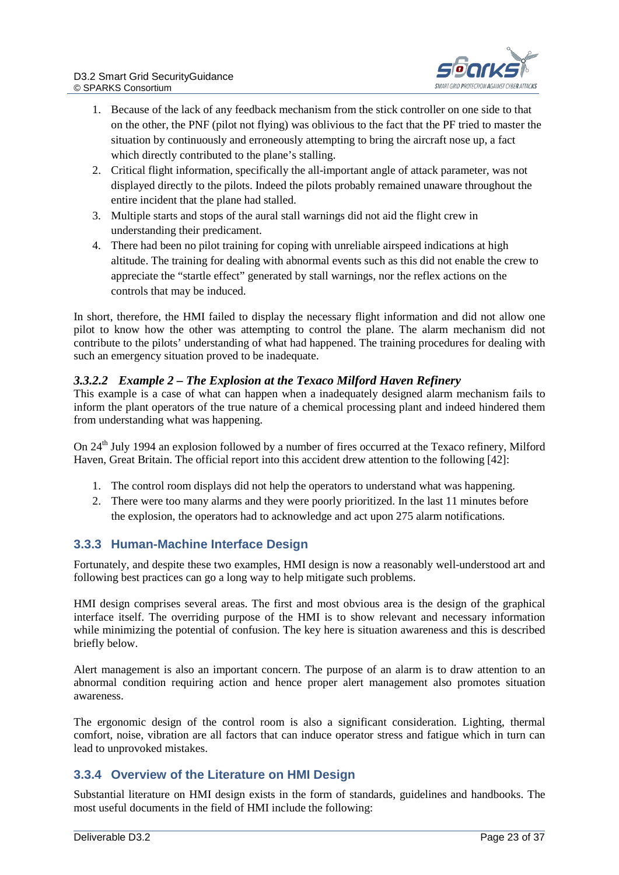

- 1. Because of the lack of any feedback mechanism from the stick controller on one side to that on the other, the PNF (pilot not flying) was oblivious to the fact that the PF tried to master the situation by continuously and erroneously attempting to bring the aircraft nose up, a fact which directly contributed to the plane's stalling.
- 2. Critical flight information, specifically the all-important angle of attack parameter, was not displayed directly to the pilots. Indeed the pilots probably remained unaware throughout the entire incident that the plane had stalled.
- 3. Multiple starts and stops of the aural stall warnings did not aid the flight crew in understanding their predicament.
- 4. There had been no pilot training for coping with unreliable airspeed indications at high altitude. The training for dealing with abnormal events such as this did not enable the crew to appreciate the "startle effect" generated by stall warnings, nor the reflex actions on the controls that may be induced.

In short, therefore, the HMI failed to display the necessary flight information and did not allow one pilot to know how the other was attempting to control the plane. The alarm mechanism did not contribute to the pilots' understanding of what had happened. The training procedures for dealing with such an emergency situation proved to be inadequate.

#### *3.3.2.2 Example 2 – The Explosion at the Texaco Milford Haven Refinery*

This example is a case of what can happen when a inadequately designed alarm mechanism fails to inform the plant operators of the true nature of a chemical processing plant and indeed hindered them from understanding what was happening.

On 24<sup>th</sup> July 1994 an explosion followed by a number of fires occurred at the Texaco refinery, Milford Haven, Great Britain. The official report into this accident drew attention to the following [42]:

- 1. The control room displays did not help the operators to understand what was happening.
- 2. There were too many alarms and they were poorly prioritized. In the last 11 minutes before the explosion, the operators had to acknowledge and act upon 275 alarm notifications.

#### <span id="page-22-0"></span>**3.3.3 Human-Machine Interface Design**

Fortunately, and despite these two examples, HMI design is now a reasonably well-understood art and following best practices can go a long way to help mitigate such problems.

HMI design comprises several areas. The first and most obvious area is the design of the graphical interface itself. The overriding purpose of the HMI is to show relevant and necessary information while minimizing the potential of confusion. The key here is situation awareness and this is described briefly below.

Alert management is also an important concern. The purpose of an alarm is to draw attention to an abnormal condition requiring action and hence proper alert management also promotes situation awareness.

The ergonomic design of the control room is also a significant consideration. Lighting, thermal comfort, noise, vibration are all factors that can induce operator stress and fatigue which in turn can lead to unprovoked mistakes.

#### <span id="page-22-1"></span>**3.3.4 Overview of the Literature on HMI Design**

Substantial literature on HMI design exists in the form of standards, guidelines and handbooks. The most useful documents in the field of HMI include the following: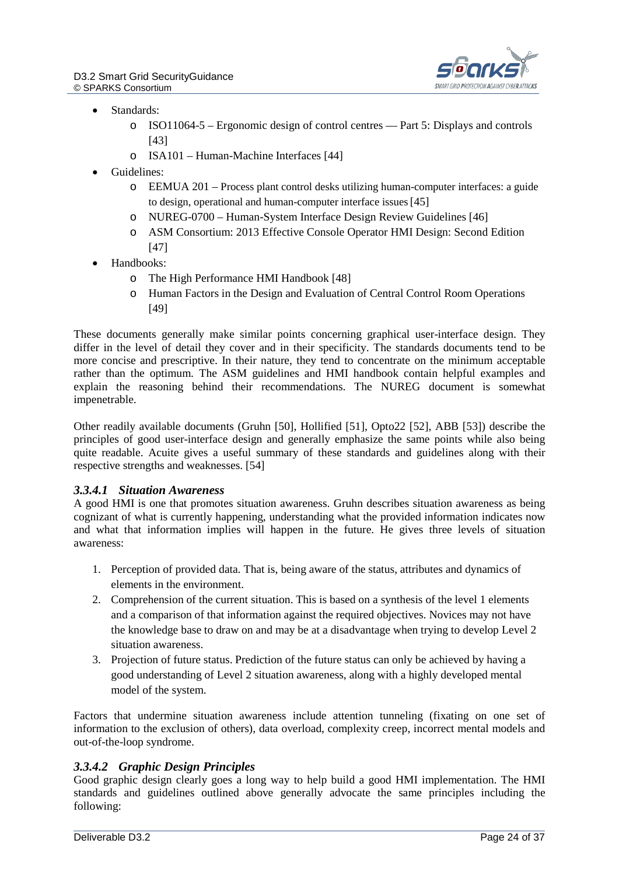

- Standards:
	- o ISO11064-5 Ergonomic design of control centres Part 5: Displays and controls [43]
	- o ISA101 Human-Machine Interfaces [44]
- Guidelines:
	- o EEMUA 201 Process plant control desks utilizing human-computer interfaces: a guide to design, operational and human-computer interface issues[45]
	- o NUREG-0700 Human-System Interface Design Review Guidelines [46]
	- o ASM Consortium: 2013 Effective Console Operator HMI Design: Second Edition [47]
- Handbooks:
	- o The High Performance HMI Handbook [48]
	- o Human Factors in the Design and Evaluation of Central Control Room Operations [49]

These documents generally make similar points concerning graphical user-interface design. They differ in the level of detail they cover and in their specificity. The standards documents tend to be more concise and prescriptive. In their nature, they tend to concentrate on the minimum acceptable rather than the optimum. The ASM guidelines and HMI handbook contain helpful examples and explain the reasoning behind their recommendations. The NUREG document is somewhat impenetrable.

Other readily available documents (Gruhn [50], Hollified [51], Opto22 [52], ABB [53]) describe the principles of good user-interface design and generally emphasize the same points while also being quite readable. Acuite gives a useful summary of these standards and guidelines along with their respective strengths and weaknesses. [54]

#### *3.3.4.1 Situation Awareness*

A good HMI is one that promotes situation awareness. Gruhn describes situation awareness as being cognizant of what is currently happening, understanding what the provided information indicates now and what that information implies will happen in the future. He gives three levels of situation awareness:

- 1. Perception of provided data. That is, being aware of the status, attributes and dynamics of elements in the environment.
- 2. Comprehension of the current situation. This is based on a synthesis of the level 1 elements and a comparison of that information against the required objectives. Novices may not have the knowledge base to draw on and may be at a disadvantage when trying to develop Level 2 situation awareness.
- 3. Projection of future status. Prediction of the future status can only be achieved by having a good understanding of Level 2 situation awareness, along with a highly developed mental model of the system.

Factors that undermine situation awareness include attention tunneling (fixating on one set of information to the exclusion of others), data overload, complexity creep, incorrect mental models and out-of-the-loop syndrome.

#### *3.3.4.2 Graphic Design Principles*

Good graphic design clearly goes a long way to help build a good HMI implementation. The HMI standards and guidelines outlined above generally advocate the same principles including the following: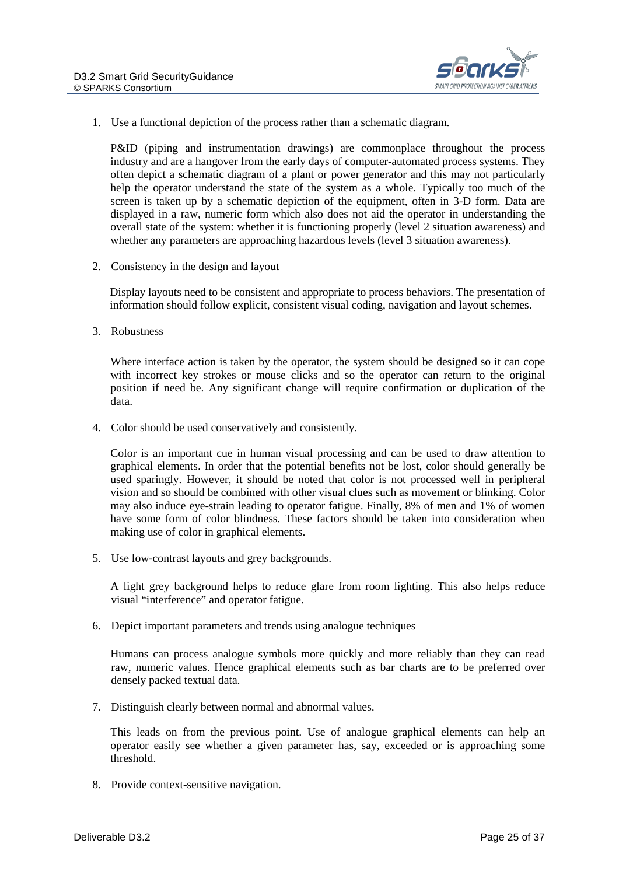

1. Use a functional depiction of the process rather than a schematic diagram.

P&ID (piping and instrumentation drawings) are commonplace throughout the process industry and are a hangover from the early days of computer-automated process systems. They often depict a schematic diagram of a plant or power generator and this may not particularly help the operator understand the state of the system as a whole. Typically too much of the screen is taken up by a schematic depiction of the equipment, often in 3-D form. Data are displayed in a raw, numeric form which also does not aid the operator in understanding the overall state of the system: whether it is functioning properly (level 2 situation awareness) and whether any parameters are approaching hazardous levels (level 3 situation awareness).

2. Consistency in the design and layout

Display layouts need to be consistent and appropriate to process behaviors. The presentation of information should follow explicit, consistent visual coding, navigation and layout schemes.

3. Robustness

Where interface action is taken by the operator, the system should be designed so it can cope with incorrect key strokes or mouse clicks and so the operator can return to the original position if need be. Any significant change will require confirmation or duplication of the data.

4. Color should be used conservatively and consistently.

Color is an important cue in human visual processing and can be used to draw attention to graphical elements. In order that the potential benefits not be lost, color should generally be used sparingly. However, it should be noted that color is not processed well in peripheral vision and so should be combined with other visual clues such as movement or blinking. Color may also induce eye-strain leading to operator fatigue. Finally, 8% of men and 1% of women have some form of color blindness. These factors should be taken into consideration when making use of color in graphical elements.

5. Use low-contrast layouts and grey backgrounds.

A light grey background helps to reduce glare from room lighting. This also helps reduce visual "interference" and operator fatigue.

6. Depict important parameters and trends using analogue techniques

Humans can process analogue symbols more quickly and more reliably than they can read raw, numeric values. Hence graphical elements such as bar charts are to be preferred over densely packed textual data.

7. Distinguish clearly between normal and abnormal values.

This leads on from the previous point. Use of analogue graphical elements can help an operator easily see whether a given parameter has, say, exceeded or is approaching some threshold.

8. Provide context-sensitive navigation.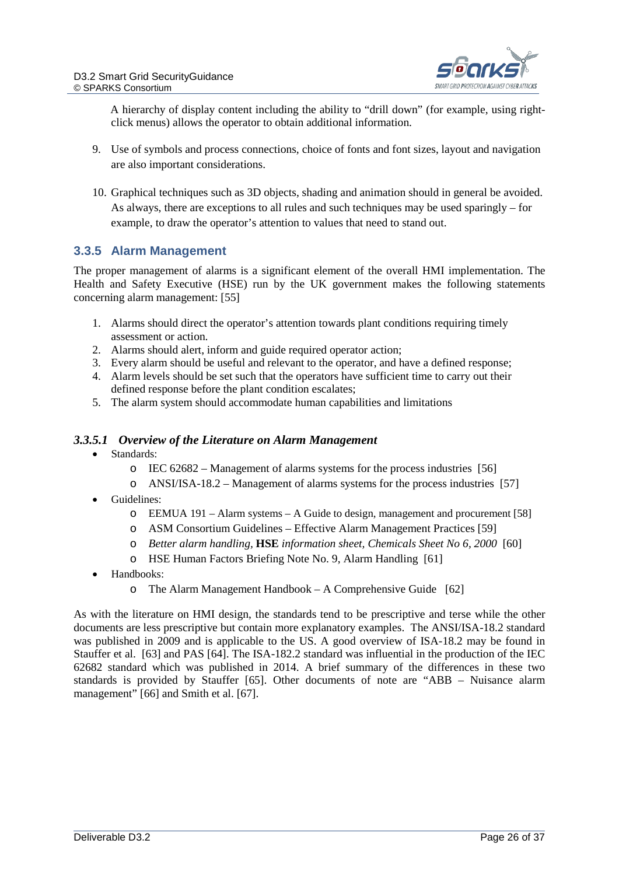

A hierarchy of display content including the ability to "drill down" (for example, using rightclick menus) allows the operator to obtain additional information.

- 9. Use of symbols and process connections, choice of fonts and font sizes, layout and navigation are also important considerations.
- 10. Graphical techniques such as 3D objects, shading and animation should in general be avoided. As always, there are exceptions to all rules and such techniques may be used sparingly – for example, to draw the operator's attention to values that need to stand out.

#### <span id="page-25-0"></span>**3.3.5 Alarm Management**

The proper management of alarms is a significant element of the overall HMI implementation. The Health and Safety Executive (HSE) run by the UK government makes the following statements concerning alarm management: [55]

- 1. Alarms should direct the operator's attention towards plant conditions requiring timely assessment or action.
- 2. Alarms should alert, inform and guide required operator action;
- 3. Every alarm should be useful and relevant to the operator, and have a defined response;
- 4. Alarm levels should be set such that the operators have sufficient time to carry out their defined response before the plant condition escalates;
- 5. The alarm system should accommodate human capabilities and limitations

#### *3.3.5.1 Overview of the Literature on Alarm Management*

- Standards:
	- o IEC 62682 Management of alarms systems for the process industries [56]
	- o ANSI/ISA-18.2 Management of alarms systems for the process industries [57]
- Guidelines:
	- $\circ$  EEMUA 191 Alarm systems A Guide to design, management and procurement [58]
	- o ASM Consortium Guidelines Effective Alarm Management Practices [59]
	- o *Better alarm handling,* **HSE** *information sheet, Chemicals Sheet No 6, 2000* [60]
	- o HSE Human Factors Briefing Note No. 9, Alarm Handling [61]
- Handbooks:
	- o The Alarm Management Handbook A Comprehensive Guide [62]

As with the literature on HMI design, the standards tend to be prescriptive and terse while the other documents are less prescriptive but contain more explanatory examples. The ANSI/ISA-18.2 standard was published in 2009 and is applicable to the US. A good overview of ISA-18.2 may be found in Stauffer et al. [63] and PAS [64]. The ISA-182.2 standard was influential in the production of the IEC 62682 standard which was published in 2014. A brief summary of the differences in these two standards is provided by Stauffer [65]. Other documents of note are "ABB – Nuisance alarm management" [66] and Smith et al. [67].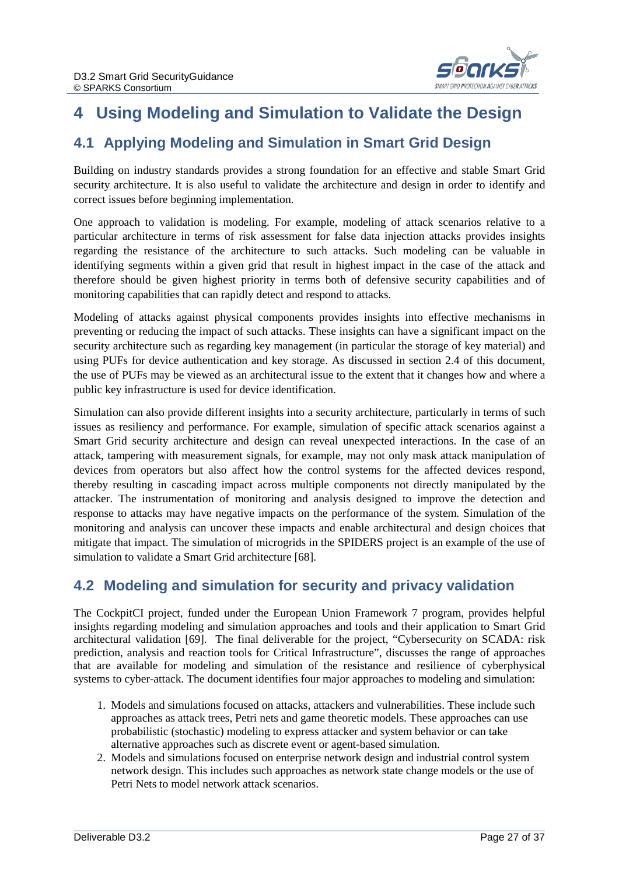

# <span id="page-26-0"></span>**4 Using Modeling and Simulation to Validate the Design**

### <span id="page-26-1"></span>**4.1 Applying Modeling and Simulation in Smart Grid Design**

Building on industry standards provides a strong foundation for an effective and stable Smart Grid security architecture. It is also useful to validate the architecture and design in order to identify and correct issues before beginning implementation.

One approach to validation is modeling. For example, modeling of attack scenarios relative to a particular architecture in terms of risk assessment for false data injection attacks provides insights regarding the resistance of the architecture to such attacks. Such modeling can be valuable in identifying segments within a given grid that result in highest impact in the case of the attack and therefore should be given highest priority in terms both of defensive security capabilities and of monitoring capabilities that can rapidly detect and respond to attacks.

Modeling of attacks against physical components provides insights into effective mechanisms in preventing or reducing the impact of such attacks. These insights can have a significant impact on the security architecture such as regarding key management (in particular the storage of key material) and using PUFs for device authentication and key storage. As discussed in section 2.4 of this document, the use of PUFs may be viewed as an architectural issue to the extent that it changes how and where a public key infrastructure is used for device identification.

Simulation can also provide different insights into a security architecture, particularly in terms of such issues as resiliency and performance. For example, simulation of specific attack scenarios against a Smart Grid security architecture and design can reveal unexpected interactions. In the case of an attack, tampering with measurement signals, for example, may not only mask attack manipulation of devices from operators but also affect how the control systems for the affected devices respond, thereby resulting in cascading impact across multiple components not directly manipulated by the attacker. The instrumentation of monitoring and analysis designed to improve the detection and response to attacks may have negative impacts on the performance of the system. Simulation of the monitoring and analysis can uncover these impacts and enable architectural and design choices that mitigate that impact. The simulation of microgrids in the SPIDERS project is an example of the use of simulation to validate a Smart Grid architecture [68].

### <span id="page-26-2"></span>**4.2 Modeling and simulation for security and privacy validation**

The CockpitCI project, funded under the European Union Framework 7 program, provides helpful insights regarding modeling and simulation approaches and tools and their application to Smart Grid architectural validation [69]. The final deliverable for the project, "Cybersecurity on SCADA: risk prediction, analysis and reaction tools for Critical Infrastructure", discusses the range of approaches that are available for modeling and simulation of the resistance and resilience of cyberphysical systems to cyber-attack. The document identifies four major approaches to modeling and simulation:

- 1. Models and simulations focused on attacks, attackers and vulnerabilities. These include such approaches as attack trees, Petri nets and game theoretic models. These approaches can use probabilistic (stochastic) modeling to express attacker and system behavior or can take alternative approaches such as discrete event or agent-based simulation.
- 2. Models and simulations focused on enterprise network design and industrial control system network design. This includes such approaches as network state change models or the use of Petri Nets to model network attack scenarios.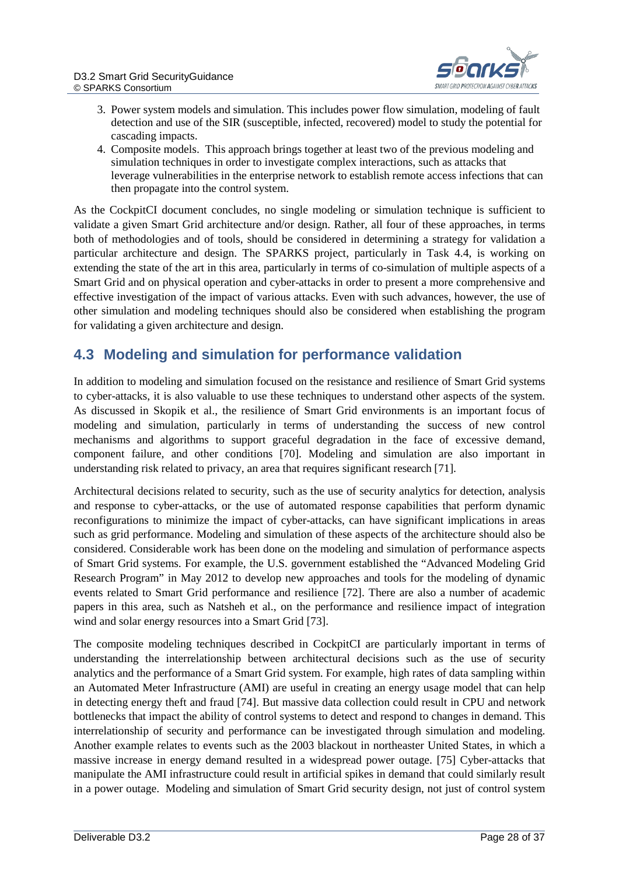

- 3. Power system models and simulation. This includes power flow simulation, modeling of fault detection and use of the SIR (susceptible, infected, recovered) model to study the potential for cascading impacts.
- 4. Composite models. This approach brings together at least two of the previous modeling and simulation techniques in order to investigate complex interactions, such as attacks that leverage vulnerabilities in the enterprise network to establish remote access infections that can then propagate into the control system.

As the CockpitCI document concludes, no single modeling or simulation technique is sufficient to validate a given Smart Grid architecture and/or design. Rather, all four of these approaches, in terms both of methodologies and of tools, should be considered in determining a strategy for validation a particular architecture and design. The SPARKS project, particularly in Task 4.4, is working on extending the state of the art in this area, particularly in terms of co-simulation of multiple aspects of a Smart Grid and on physical operation and cyber-attacks in order to present a more comprehensive and effective investigation of the impact of various attacks. Even with such advances, however, the use of other simulation and modeling techniques should also be considered when establishing the program for validating a given architecture and design.

### <span id="page-27-0"></span>**4.3 Modeling and simulation for performance validation**

In addition to modeling and simulation focused on the resistance and resilience of Smart Grid systems to cyber-attacks, it is also valuable to use these techniques to understand other aspects of the system. As discussed in Skopik et al., the resilience of Smart Grid environments is an important focus of modeling and simulation, particularly in terms of understanding the success of new control mechanisms and algorithms to support graceful degradation in the face of excessive demand, component failure, and other conditions [70]. Modeling and simulation are also important in understanding risk related to privacy, an area that requires significant research [71].

Architectural decisions related to security, such as the use of security analytics for detection, analysis and response to cyber-attacks, or the use of automated response capabilities that perform dynamic reconfigurations to minimize the impact of cyber-attacks, can have significant implications in areas such as grid performance. Modeling and simulation of these aspects of the architecture should also be considered. Considerable work has been done on the modeling and simulation of performance aspects of Smart Grid systems. For example, the U.S. government established the "Advanced Modeling Grid Research Program" in May 2012 to develop new approaches and tools for the modeling of dynamic events related to Smart Grid performance and resilience [72]. There are also a number of academic papers in this area, such as Natsheh et al., on the performance and resilience impact of integration wind and solar energy resources into a Smart Grid [73].

The composite modeling techniques described in CockpitCI are particularly important in terms of understanding the interrelationship between architectural decisions such as the use of security analytics and the performance of a Smart Grid system. For example, high rates of data sampling within an Automated Meter Infrastructure (AMI) are useful in creating an energy usage model that can help in detecting energy theft and fraud [74]. But massive data collection could result in CPU and network bottlenecks that impact the ability of control systems to detect and respond to changes in demand. This interrelationship of security and performance can be investigated through simulation and modeling. Another example relates to events such as the 2003 blackout in northeaster United States, in which a massive increase in energy demand resulted in a widespread power outage. [75] Cyber-attacks that manipulate the AMI infrastructure could result in artificial spikes in demand that could similarly result in a power outage. Modeling and simulation of Smart Grid security design, not just of control system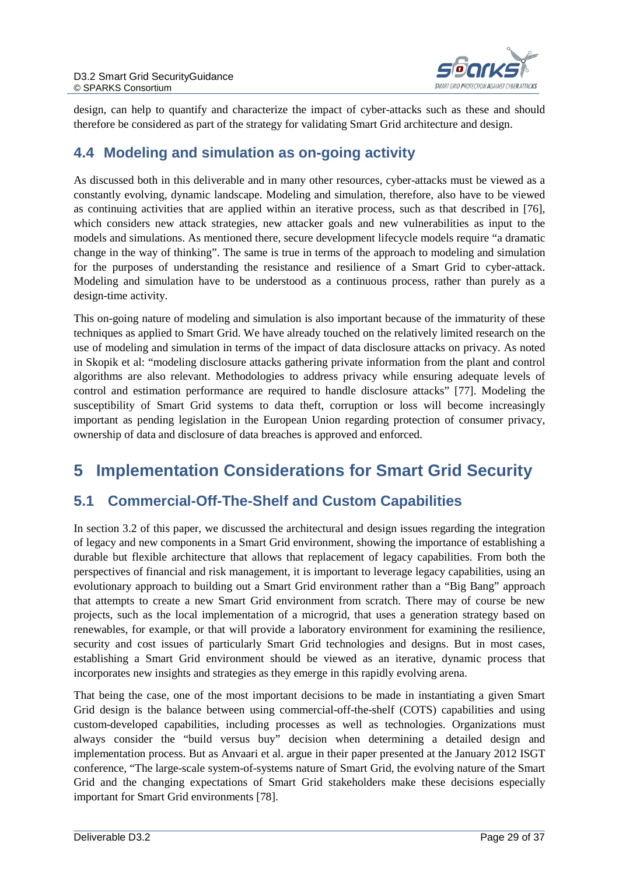

design, can help to quantify and characterize the impact of cyber-attacks such as these and should therefore be considered as part of the strategy for validating Smart Grid architecture and design.

### <span id="page-28-0"></span>**4.4 Modeling and simulation as on-going activity**

As discussed both in this deliverable and in many other resources, cyber-attacks must be viewed as a constantly evolving, dynamic landscape. Modeling and simulation, therefore, also have to be viewed as continuing activities that are applied within an iterative process, such as that described in [76], which considers new attack strategies, new attacker goals and new vulnerabilities as input to the models and simulations. As mentioned there, secure development lifecycle models require "a dramatic change in the way of thinking". The same is true in terms of the approach to modeling and simulation for the purposes of understanding the resistance and resilience of a Smart Grid to cyber-attack. Modeling and simulation have to be understood as a continuous process, rather than purely as a design-time activity.

This on-going nature of modeling and simulation is also important because of the immaturity of these techniques as applied to Smart Grid. We have already touched on the relatively limited research on the use of modeling and simulation in terms of the impact of data disclosure attacks on privacy. As noted in Skopik et al: "modeling disclosure attacks gathering private information from the plant and control algorithms are also relevant. Methodologies to address privacy while ensuring adequate levels of control and estimation performance are required to handle disclosure attacks" [77]. Modeling the susceptibility of Smart Grid systems to data theft, corruption or loss will become increasingly important as pending legislation in the European Union regarding protection of consumer privacy, ownership of data and disclosure of data breaches is approved and enforced.

# <span id="page-28-1"></span>**5 Implementation Considerations for Smart Grid Security**

### <span id="page-28-2"></span>**5.1 Commercial-Off-The-Shelf and Custom Capabilities**

In section 3.2 of this paper, we discussed the architectural and design issues regarding the integration of legacy and new components in a Smart Grid environment, showing the importance of establishing a durable but flexible architecture that allows that replacement of legacy capabilities. From both the perspectives of financial and risk management, it is important to leverage legacy capabilities, using an evolutionary approach to building out a Smart Grid environment rather than a "Big Bang" approach that attempts to create a new Smart Grid environment from scratch. There may of course be new projects, such as the local implementation of a microgrid, that uses a generation strategy based on renewables, for example, or that will provide a laboratory environment for examining the resilience, security and cost issues of particularly Smart Grid technologies and designs. But in most cases, establishing a Smart Grid environment should be viewed as an iterative, dynamic process that incorporates new insights and strategies as they emerge in this rapidly evolving arena.

That being the case, one of the most important decisions to be made in instantiating a given Smart Grid design is the balance between using commercial-off-the-shelf (COTS) capabilities and using custom-developed capabilities, including processes as well as technologies. Organizations must always consider the "build versus buy" decision when determining a detailed design and implementation process. But as Anvaari et al. argue in their paper presented at the January 2012 ISGT conference, "The large-scale system-of-systems nature of Smart Grid, the evolving nature of the Smart Grid and the changing expectations of Smart Grid stakeholders make these decisions especially important for Smart Grid environments [78].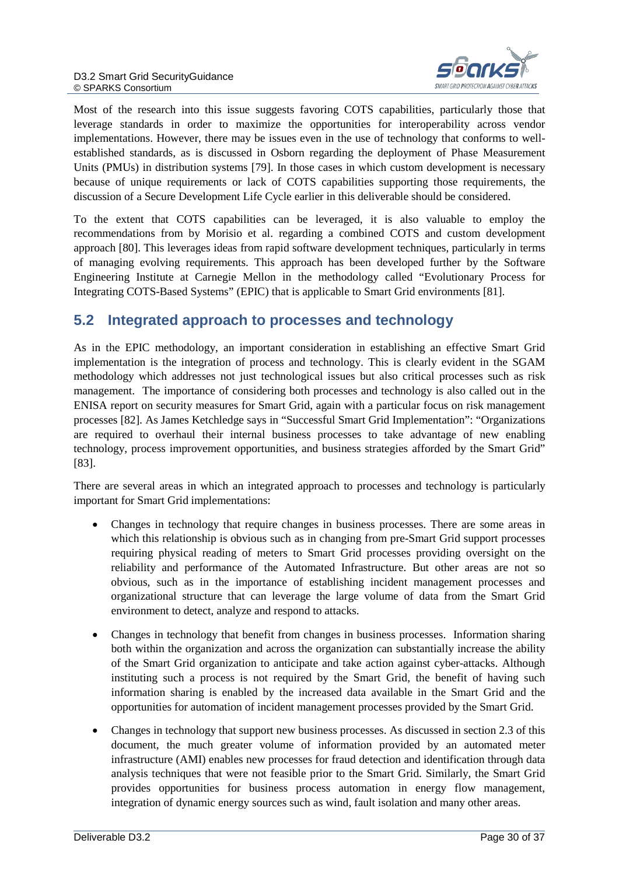

Most of the research into this issue suggests favoring COTS capabilities, particularly those that leverage standards in order to maximize the opportunities for interoperability across vendor implementations. However, there may be issues even in the use of technology that conforms to wellestablished standards, as is discussed in Osborn regarding the deployment of Phase Measurement Units (PMUs) in distribution systems [79]. In those cases in which custom development is necessary because of unique requirements or lack of COTS capabilities supporting those requirements, the discussion of a Secure Development Life Cycle earlier in this deliverable should be considered.

To the extent that COTS capabilities can be leveraged, it is also valuable to employ the recommendations from by Morisio et al. regarding a combined COTS and custom development approach [80]. This leverages ideas from rapid software development techniques, particularly in terms of managing evolving requirements. This approach has been developed further by the Software Engineering Institute at Carnegie Mellon in the methodology called "Evolutionary Process for Integrating COTS-Based Systems" (EPIC) that is applicable to Smart Grid environments [81].

### <span id="page-29-0"></span>**5.2 Integrated approach to processes and technology**

As in the EPIC methodology, an important consideration in establishing an effective Smart Grid implementation is the integration of process and technology. This is clearly evident in the SGAM methodology which addresses not just technological issues but also critical processes such as risk management. The importance of considering both processes and technology is also called out in the ENISA report on security measures for Smart Grid, again with a particular focus on risk management processes [82]. As James Ketchledge says in "Successful Smart Grid Implementation": "Organizations are required to overhaul their internal business processes to take advantage of new enabling technology, process improvement opportunities, and business strategies afforded by the Smart Grid" [83].

There are several areas in which an integrated approach to processes and technology is particularly important for Smart Grid implementations:

- Changes in technology that require changes in business processes. There are some areas in which this relationship is obvious such as in changing from pre-Smart Grid support processes requiring physical reading of meters to Smart Grid processes providing oversight on the reliability and performance of the Automated Infrastructure. But other areas are not so obvious, such as in the importance of establishing incident management processes and organizational structure that can leverage the large volume of data from the Smart Grid environment to detect, analyze and respond to attacks.
- Changes in technology that benefit from changes in business processes. Information sharing both within the organization and across the organization can substantially increase the ability of the Smart Grid organization to anticipate and take action against cyber-attacks. Although instituting such a process is not required by the Smart Grid, the benefit of having such information sharing is enabled by the increased data available in the Smart Grid and the opportunities for automation of incident management processes provided by the Smart Grid.
- Changes in technology that support new business processes. As discussed in section 2.3 of this document, the much greater volume of information provided by an automated meter infrastructure (AMI) enables new processes for fraud detection and identification through data analysis techniques that were not feasible prior to the Smart Grid. Similarly, the Smart Grid provides opportunities for business process automation in energy flow management, integration of dynamic energy sources such as wind, fault isolation and many other areas.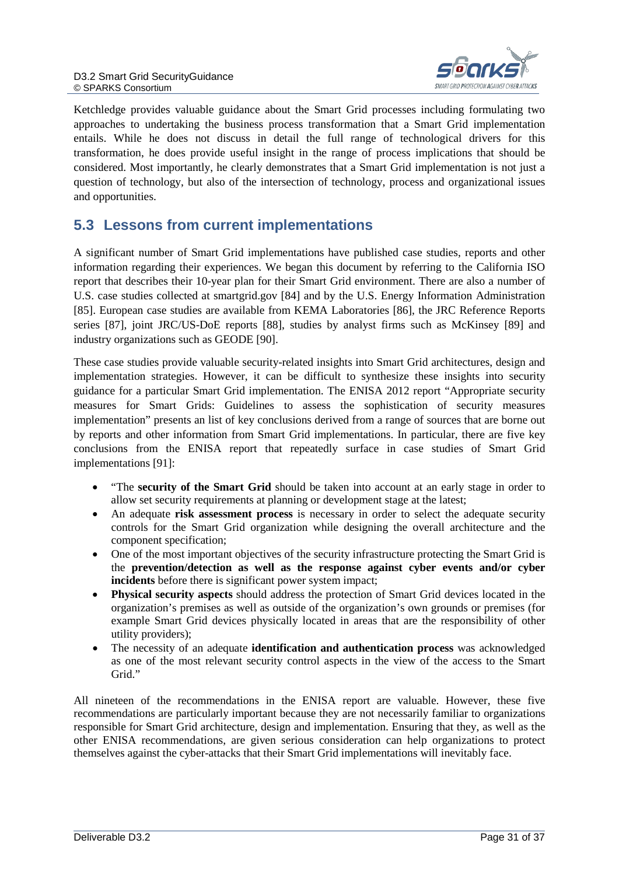

Ketchledge provides valuable guidance about the Smart Grid processes including formulating two approaches to undertaking the business process transformation that a Smart Grid implementation entails. While he does not discuss in detail the full range of technological drivers for this transformation, he does provide useful insight in the range of process implications that should be considered. Most importantly, he clearly demonstrates that a Smart Grid implementation is not just a question of technology, but also of the intersection of technology, process and organizational issues and opportunities.

### <span id="page-30-0"></span>**5.3 Lessons from current implementations**

A significant number of Smart Grid implementations have published case studies, reports and other information regarding their experiences. We began this document by referring to the California ISO report that describes their 10-year plan for their Smart Grid environment. There are also a number of U.S. case studies collected at smartgrid.gov [84] and by the U.S. Energy Information Administration [85]. European case studies are available from KEMA Laboratories [86], the JRC Reference Reports series [87], joint JRC/US-DoE reports [88], studies by analyst firms such as McKinsey [89] and industry organizations such as GEODE [90].

These case studies provide valuable security-related insights into Smart Grid architectures, design and implementation strategies. However, it can be difficult to synthesize these insights into security guidance for a particular Smart Grid implementation. The ENISA 2012 report "Appropriate security measures for Smart Grids: Guidelines to assess the sophistication of security measures implementation" presents an list of key conclusions derived from a range of sources that are borne out by reports and other information from Smart Grid implementations. In particular, there are five key conclusions from the ENISA report that repeatedly surface in case studies of Smart Grid implementations [91]:

- "The **security of the Smart Grid** should be taken into account at an early stage in order to allow set security requirements at planning or development stage at the latest;
- An adequate **risk assessment process** is necessary in order to select the adequate security controls for the Smart Grid organization while designing the overall architecture and the component specification;
- One of the most important objectives of the security infrastructure protecting the Smart Grid is the **prevention/detection as well as the response against cyber events and/or cyber incidents** before there is significant power system impact;
- **Physical security aspects** should address the protection of Smart Grid devices located in the organization's premises as well as outside of the organization's own grounds or premises (for example Smart Grid devices physically located in areas that are the responsibility of other utility providers);
- The necessity of an adequate **identification and authentication process** was acknowledged as one of the most relevant security control aspects in the view of the access to the Smart Grid."

All nineteen of the recommendations in the ENISA report are valuable. However, these five recommendations are particularly important because they are not necessarily familiar to organizations responsible for Smart Grid architecture, design and implementation. Ensuring that they, as well as the other ENISA recommendations, are given serious consideration can help organizations to protect themselves against the cyber-attacks that their Smart Grid implementations will inevitably face.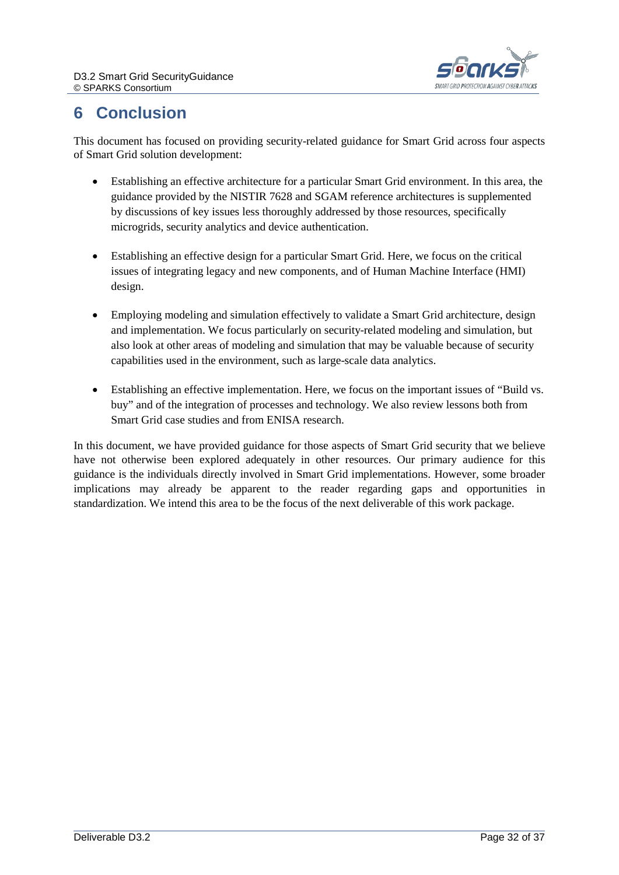

# <span id="page-31-0"></span>**6 Conclusion**

This document has focused on providing security-related guidance for Smart Grid across four aspects of Smart Grid solution development:

- Establishing an effective architecture for a particular Smart Grid environment. In this area, the guidance provided by the NISTIR 7628 and SGAM reference architectures is supplemented by discussions of key issues less thoroughly addressed by those resources, specifically microgrids, security analytics and device authentication.
- Establishing an effective design for a particular Smart Grid. Here, we focus on the critical issues of integrating legacy and new components, and of Human Machine Interface (HMI) design.
- Employing modeling and simulation effectively to validate a Smart Grid architecture, design and implementation. We focus particularly on security-related modeling and simulation, but also look at other areas of modeling and simulation that may be valuable because of security capabilities used in the environment, such as large-scale data analytics.
- Establishing an effective implementation. Here, we focus on the important issues of "Build vs. buy" and of the integration of processes and technology. We also review lessons both from Smart Grid case studies and from ENISA research.

In this document, we have provided guidance for those aspects of Smart Grid security that we believe have not otherwise been explored adequately in other resources. Our primary audience for this guidance is the individuals directly involved in Smart Grid implementations. However, some broader implications may already be apparent to the reader regarding gaps and opportunities in standardization. We intend this area to be the focus of the next deliverable of this work package.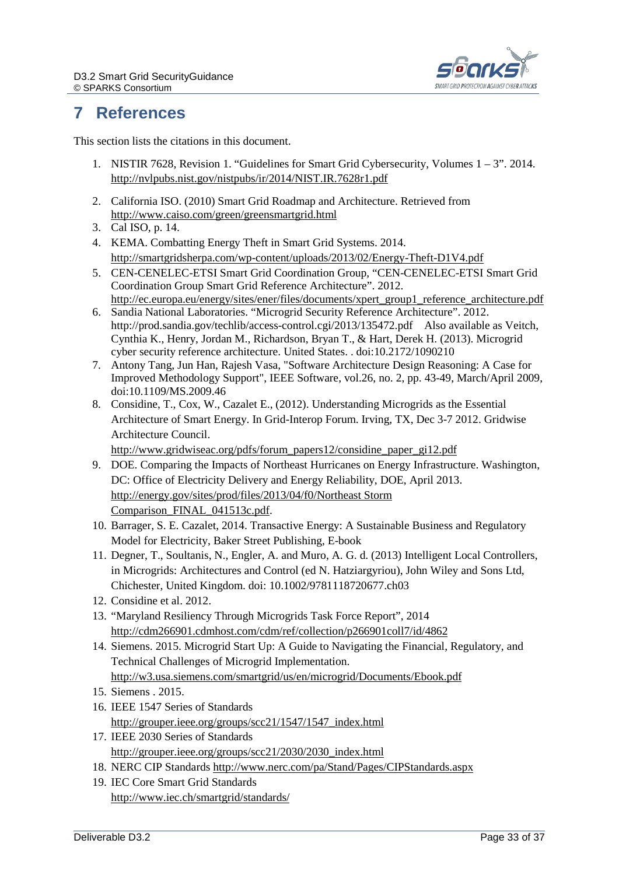

# <span id="page-32-0"></span>**7 References**

This section lists the citations in this document.

- <span id="page-32-1"></span>1. NISTIR 7628, Revision 1. "Guidelines for Smart Grid Cybersecurity, Volumes 1 – 3". 2014. <http://nvlpubs.nist.gov/nistpubs/ir/2014/NIST.IR.7628r1.pdf>
- 2. California ISO. (2010) Smart Grid Roadmap and Architecture. Retrieved from <http://www.caiso.com/green/greensmartgrid.html>
- 3. Cal ISO, p. 14.
- 4. KEMA. Combatting Energy Theft in Smart Grid Systems. 2014. <http://smartgridsherpa.com/wp-content/uploads/2013/02/Energy-Theft-D1V4.pdf>
- 5. CEN-CENELEC-ETSI Smart Grid Coordination Group, "CEN-CENELEC-ETSI Smart Grid Coordination Group Smart Grid Reference Architecture". 2012. [http://ec.europa.eu/energy/sites/ener/files/documents/xpert\\_group1\\_reference\\_architecture.pdf](http://ec.europa.eu/energy/sites/ener/files/documents/xpert_group1_reference_architecture.pdf)
- 6. Sandia National Laboratories. "Microgrid Security Reference Architecture". 2012. http://prod.sandia.gov/techlib/access-control.cgi/2013/135472.pdf Also available as Veitch, Cynthia K., Henry, Jordan M., Richardson, Bryan T., & Hart, Derek H. (2013). Microgrid cyber security reference architecture. United States. . doi:10.2172/1090210
- 7. Antony Tang, Jun Han, Rajesh Vasa, "Software Architecture Design Reasoning: A Case for Improved Methodology Support", IEEE Software, vol.26, no. 2, pp. 43-49, March/April 2009, doi:10.1109/MS.2009.46
- 8. Considine, T., Cox, W., Cazalet E., (2012). Understanding Microgrids as the Essential Architecture of Smart Energy. In Grid-Interop Forum. Irving, TX, Dec 3-7 2012. Gridwise Architecture Council.

[http://www.gridwiseac.org/pdfs/forum\\_papers12/considine\\_paper\\_gi12.pdf](http://www.gridwiseac.org/pdfs/forum_papers12/considine_paper_gi12.pdf)

- 9. DOE. Comparing the Impacts of Northeast Hurricanes on Energy Infrastructure. Washington, DC: Office of Electricity Delivery and Energy Reliability, DOE, April 2013. [http://energy.gov/sites/prod/files/2013/04/f0/Northeast Storm](http://energy.gov/sites/prod/files/2013/04/f0/Northeast%20Storm%20Comparison_FINAL_041513c.pdf)  [Comparison\\_FINAL\\_041513c.pdf.](http://energy.gov/sites/prod/files/2013/04/f0/Northeast%20Storm%20Comparison_FINAL_041513c.pdf)
- 10. Barrager, S. E. Cazalet, 2014. Transactive Energy: A Sustainable Business and Regulatory Model for Electricity, Baker Street Publishing, E-book
- 11. Degner, T., Soultanis, N., Engler, A. and Muro, A. G. d. (2013) Intelligent Local Controllers, in Microgrids: Architectures and Control (ed N. Hatziargyriou), John Wiley and Sons Ltd, Chichester, United Kingdom. doi: 10.1002/9781118720677.ch03
- 12. Considine et al. 2012.
- 13. "Maryland Resiliency Through Microgrids Task Force Report", 2014 <http://cdm266901.cdmhost.com/cdm/ref/collection/p266901coll7/id/4862>
- 14. Siemens. 2015. Microgrid Start Up: A Guide to Navigating the Financial, Regulatory, and Technical Challenges of Microgrid Implementation. <http://w3.usa.siemens.com/smartgrid/us/en/microgrid/Documents/Ebook.pdf>
- 15. Siemens . 2015.
- 16. IEEE 1547 Series of Standards [http://grouper.ieee.org/groups/scc21/1547/1547\\_index.html](http://grouper.ieee.org/groups/scc21/1547/1547_index.html)
- 17. IEEE 2030 Series of Standards [http://grouper.ieee.org/groups/scc21/2030/2030\\_index.html](http://grouper.ieee.org/groups/scc21/2030/2030_index.html)
- 18. NERC CIP Standards <http://www.nerc.com/pa/Stand/Pages/CIPStandards.aspx>
- 19. IEC Core Smart Grid Standards <http://www.iec.ch/smartgrid/standards/>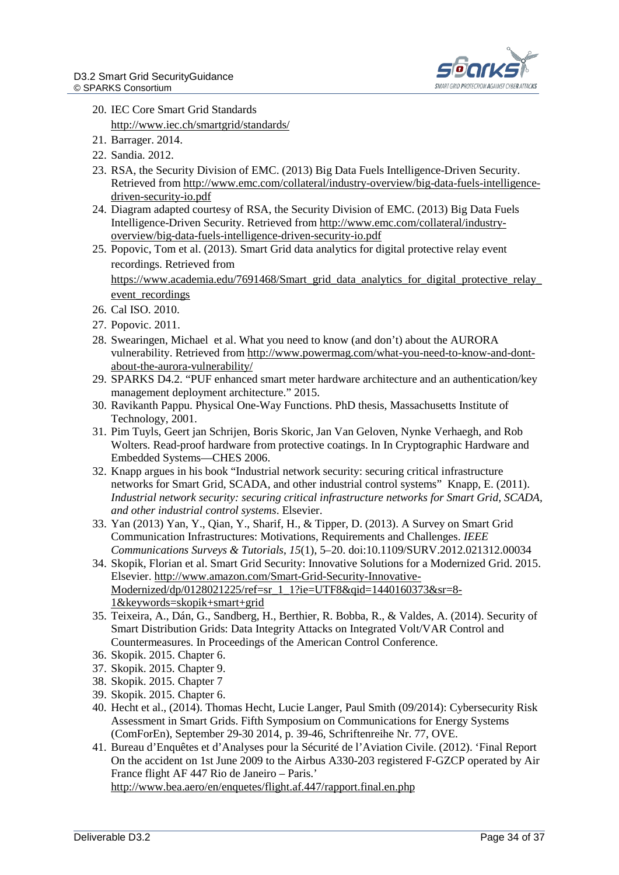

- 20. IEC Core Smart Grid Standards <http://www.iec.ch/smartgrid/standards/>
- 21. Barrager. 2014.
- 22. Sandia. 2012.
- 23. RSA, the Security Division of EMC. (2013) Big Data Fuels Intelligence-Driven Security. Retrieved from [http://www.emc.com/collateral/industry-overview/big-data-fuels-intelligence](http://www.emc.com/collateral/industry-overview/big-data-fuels-intelligence-driven-security-io.pdf)[driven-security-io.pdf](http://www.emc.com/collateral/industry-overview/big-data-fuels-intelligence-driven-security-io.pdf)
- 24. Diagram adapted courtesy of RSA, the Security Division of EMC. (2013) Big Data Fuels Intelligence-Driven Security. Retrieved fro[m http://www.emc.com/collateral/industry](http://www.emc.com/collateral/industry-overview/big-data-fuels-intelligence-driven-security-io.pdf)[overview/big-data-fuels-intelligence-driven-security-io.pdf](http://www.emc.com/collateral/industry-overview/big-data-fuels-intelligence-driven-security-io.pdf)
- 25. Popovic, Tom et al. (2013). Smart Grid data analytics for digital protective relay event recordings. Retrieved from https://www.academia.edu/7691468/Smart\_grid\_data\_analytics\_for\_digital\_protective\_relay

event recordings

- 26. Cal ISO. 2010.
- 27. Popovic. 2011.
- 28. Swearingen, Michael et al. What you need to know (and don't) about the AURORA vulnerability. Retrieved from [http://www.powermag.com/what-you-need-to-know-and-dont](http://www.powermag.com/what-you-need-to-know-and-dont-about-the-aurora-vulnerability/)[about-the-aurora-vulnerability/](http://www.powermag.com/what-you-need-to-know-and-dont-about-the-aurora-vulnerability/)
- 29. SPARKS D4.2. "PUF enhanced smart meter hardware architecture and an authentication/key management deployment architecture." 2015.
- 30. Ravikanth Pappu. Physical One-Way Functions. PhD thesis, Massachusetts Institute of Technology, 2001.
- 31. Pim Tuyls, Geert jan Schrijen, Boris Skoric, Jan Van Geloven, Nynke Verhaegh, and Rob Wolters. Read-proof hardware from protective coatings. In In Cryptographic Hardware and Embedded Systems—CHES 2006.
- 32. Knapp argues in his book "Industrial network security: securing critical infrastructure networks for Smart Grid, SCADA, and other industrial control systems" Knapp, E. (2011). *Industrial network security: securing critical infrastructure networks for Smart Grid, SCADA, and other industrial control systems*. Elsevier.
- 33. Yan (2013) Yan, Y., Qian, Y., Sharif, H., & Tipper, D. (2013). A Survey on Smart Grid Communication Infrastructures: Motivations, Requirements and Challenges. *IEEE Communications Surveys & Tutorials*, *15*(1), 5–20. doi:10.1109/SURV.2012.021312.00034
- 34. Skopik, Florian et al. Smart Grid Security: Innovative Solutions for a Modernized Grid. 2015. Elsevier. [http://www.amazon.com/Smart-Grid-Security-Innovative-](http://www.amazon.com/Smart-Grid-Security-Innovative-Modernized/dp/0128021225/ref=sr_1_1?ie=UTF8&qid=1440160373&sr=8-1&keywords=skopik+smart+grid)[Modernized/dp/0128021225/ref=sr\\_1\\_1?ie=UTF8&qid=1440160373&sr=8-](http://www.amazon.com/Smart-Grid-Security-Innovative-Modernized/dp/0128021225/ref=sr_1_1?ie=UTF8&qid=1440160373&sr=8-1&keywords=skopik+smart+grid) [1&keywords=skopik+smart+grid](http://www.amazon.com/Smart-Grid-Security-Innovative-Modernized/dp/0128021225/ref=sr_1_1?ie=UTF8&qid=1440160373&sr=8-1&keywords=skopik+smart+grid)
- 35. Teixeira, A., Dán, G., Sandberg, H., Berthier, R. Bobba, R., & Valdes, A. (2014). Security of Smart Distribution Grids: Data Integrity Attacks on Integrated Volt/VAR Control and Countermeasures. In Proceedings of the American Control Conference.
- 36. Skopik. 2015. Chapter 6.
- 37. Skopik. 2015. Chapter 9.
- 38. Skopik. 2015. Chapter 7
- 39. Skopik. 2015. Chapter 6.
- 40. Hecht et al., (2014). Thomas Hecht, Lucie Langer, Paul Smith (09/2014): Cybersecurity Risk Assessment in Smart Grids. Fifth Symposium on Communications for Energy Systems (ComForEn), September 29-30 2014, p. 39-46, Schriftenreihe Nr. 77, OVE.
- 41. Bureau d'Enquêtes et d'Analyses pour la Sécurité de l'Aviation Civile. (2012). 'Final Report On the accident on 1st June 2009 to the Airbus A330-203 registered F-GZCP operated by Air France flight AF 447 Rio de Janeiro – Paris.' <http://www.bea.aero/en/enquetes/flight.af.447/rapport.final.en.php>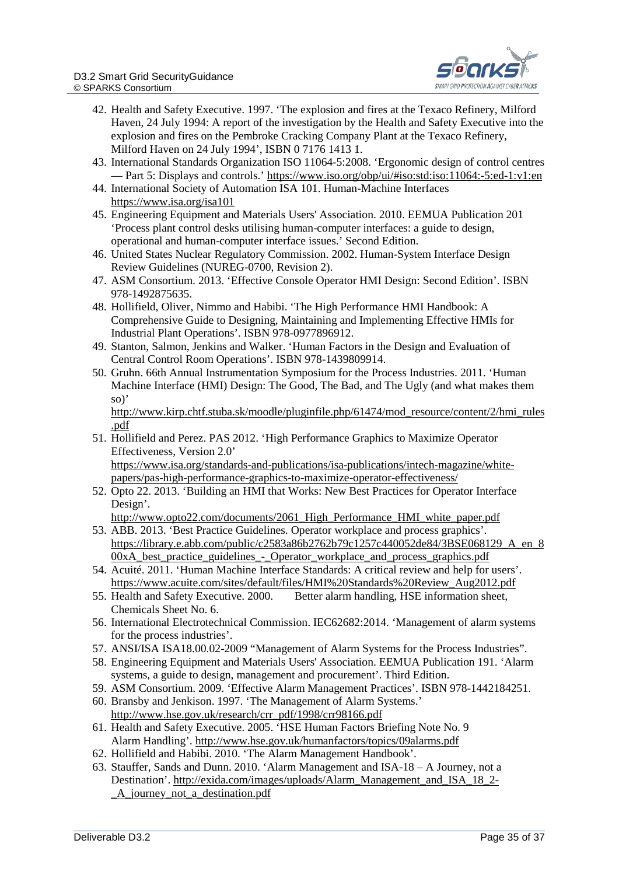

- 42. Health and Safety Executive. 1997. 'The explosion and fires at the Texaco Refinery, Milford Haven, 24 July 1994: A report of the investigation by the Health and Safety Executive into the explosion and fires on the Pembroke Cracking Company Plant at the Texaco Refinery, Milford Haven on 24 July 1994', ISBN 0 7176 1413 1.
- 43. International Standards Organization ISO 11064-5:2008. 'Ergonomic design of control centres — Part 5: Displays and controls.'<https://www.iso.org/obp/ui/#iso:std:iso:11064:-5:ed-1:v1:en>
- 44. International Society of Automation ISA 101. Human-Machine Interfaces <https://www.isa.org/isa101>
- 45. Engineering Equipment and Materials Users' Association. 2010. EEMUA Publication 201 'Process plant control desks utilising human-computer interfaces: a guide to design, operational and human-computer interface issues.' Second Edition.
- 46. United States Nuclear Regulatory Commission. 2002. Human-System Interface Design Review Guidelines (NUREG-0700, Revision 2).
- 47. ASM Consortium. 2013. 'Effective Console Operator HMI Design: Second Edition'. ISBN 978-1492875635.
- 48. Hollifield, Oliver, Nimmo and Habibi. 'The High Performance HMI Handbook: A Comprehensive Guide to Designing, Maintaining and Implementing Effective HMIs for Industrial Plant Operations'. ISBN 978-0977896912.
- 49. Stanton, Salmon, Jenkins and Walker. 'Human Factors in the Design and Evaluation of Central Control Room Operations'. ISBN 978-1439809914.
- 50. Gruhn. 66th Annual Instrumentation Symposium for the Process Industries. 2011. 'Human Machine Interface (HMI) Design: The Good, The Bad, and The Ugly (and what makes them so)'

[http://www.kirp.chtf.stuba.sk/moodle/pluginfile.php/61474/mod\\_resource/content/2/hmi\\_rules](http://www.kirp.chtf.stuba.sk/moodle/pluginfile.php/61474/mod_resource/content/2/hmi_rules.pdf) [.pdf](http://www.kirp.chtf.stuba.sk/moodle/pluginfile.php/61474/mod_resource/content/2/hmi_rules.pdf)

- 51. Hollifield and Perez. PAS 2012. 'High Performance Graphics to Maximize Operator Effectiveness, Version 2.0' [https://www.isa.org/standards-and-publications/isa-publications/intech-magazine/white](https://www.isa.org/standards-and-publications/isa-publications/intech-magazine/white-papers/pas-high-performance-graphics-to-maximize-operator-effectiveness/)[papers/pas-high-performance-graphics-to-maximize-operator-effectiveness/](https://www.isa.org/standards-and-publications/isa-publications/intech-magazine/white-papers/pas-high-performance-graphics-to-maximize-operator-effectiveness/)
- 52. Opto 22. 2013. 'Building an HMI that Works: New Best Practices for Operator Interface Design'.
	- [http://www.opto22.com/documents/2061\\_High\\_Performance\\_HMI\\_white\\_paper.pdf](http://www.opto22.com/documents/2061_High_Performance_HMI_white_paper.pdf)
- 53. ABB. 2013. 'Best Practice Guidelines. Operator workplace and process graphics'. [https://library.e.abb.com/public/c2583a86b2762b79c1257c440052de84/3BSE068129\\_A\\_en\\_8](https://library.e.abb.com/public/c2583a86b2762b79c1257c440052de84/3BSE068129_A_en_800xA_best_practice_guidelines_-_Operator_workplace_and_process_graphics.pdf)  $00xA$  best practice guidelines - Operator workplace and process graphics.pdf
- 54. Acuité. 2011. 'Human Machine Interface Standards: A critical review and help for users'. [https://www.acuite.com/sites/default/files/HMI%20Standards%20Review\\_Aug2012.pdf](https://www.acuite.com/sites/default/files/HMI%20Standards%20Review_Aug2012.pdf)
- 55. Health and Safety Executive. 2000. Better alarm handling, HSE information sheet, Chemicals Sheet No. 6.
- 56. International Electrotechnical Commission. IEC62682:2014. 'Management of alarm systems for the process industries'.
- 57. ANSI/ISA ISA18.00.02-2009 "Management of Alarm Systems for the Process Industries".
- 58. Engineering Equipment and Materials Users' Association. EEMUA Publication 191. 'Alarm systems, a guide to design, management and procurement'. Third Edition.
- 59. ASM Consortium. 2009. 'Effective Alarm Management Practices'. ISBN 978-1442184251.
- 60. Bransby and Jenkison. 1997. 'The Management of Alarm Systems.' [http://www.hse.gov.uk/research/crr\\_pdf/1998/crr98166.pdf](http://www.hse.gov.uk/research/crr_pdf/1998/crr98166.pdf)
- 61. Health and Safety Executive. 2005. 'HSE Human Factors Briefing Note No. 9 Alarm Handling'.<http://www.hse.gov.uk/humanfactors/topics/09alarms.pdf>
- 62. Hollifield and Habibi. 2010. 'The Alarm Management Handbook'.
- 63. Stauffer, Sands and Dunn. 2010. 'Alarm Management and ISA-18 A Journey, not a Destination'. [http://exida.com/images/uploads/Alarm\\_Management\\_and\\_ISA\\_18\\_2-](http://exida.com/images/uploads/Alarm_Management_and_ISA_18_2-_A_journey_not_a_destination.pdf) [\\_A\\_journey\\_not\\_a\\_destination.pdf](http://exida.com/images/uploads/Alarm_Management_and_ISA_18_2-_A_journey_not_a_destination.pdf)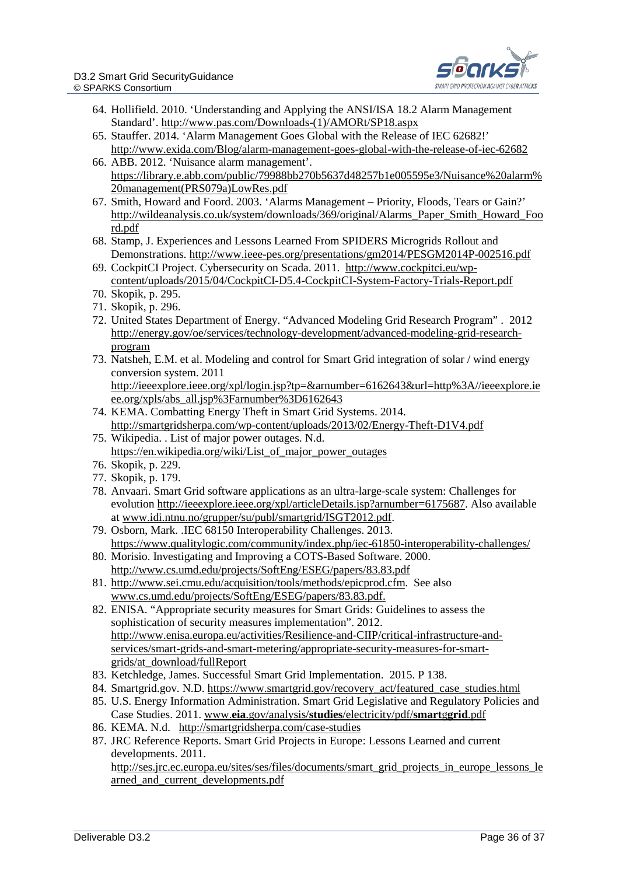

- 64. Hollifield. 2010. 'Understanding and Applying the ANSI/ISA 18.2 Alarm Management Standard'. [http://www.pas.com/Downloads-\(1\)/AMORt/SP18.aspx](http://www.pas.com/Downloads-(1)/AMORt/SP18.aspx)
- 65. Stauffer. 2014. 'Alarm Management Goes Global with the Release of IEC 62682!' <http://www.exida.com/Blog/alarm-management-goes-global-with-the-release-of-iec-62682>
- 66. ABB. 2012. 'Nuisance alarm management'. [https://library.e.abb.com/public/79988bb270b5637d48257b1e005595e3/Nuisance%20alarm%](https://library.e.abb.com/public/79988bb270b5637d48257b1e005595e3/Nuisance%20alarm%20management(PRS079a)LowRes.pdf) [20management\(PRS079a\)LowRes.pdf](https://library.e.abb.com/public/79988bb270b5637d48257b1e005595e3/Nuisance%20alarm%20management(PRS079a)LowRes.pdf)
- 67. Smith, Howard and Foord. 2003. 'Alarms Management Priority, Floods, Tears or Gain?' [http://wildeanalysis.co.uk/system/downloads/369/original/Alarms\\_Paper\\_Smith\\_Howard\\_Foo](http://wildeanalysis.co.uk/system/downloads/369/original/Alarms_Paper_Smith_Howard_Foord.pdf) [rd.pdf](http://wildeanalysis.co.uk/system/downloads/369/original/Alarms_Paper_Smith_Howard_Foord.pdf)
- 68. Stamp, J. Experiences and Lessons Learned From SPIDERS Microgrids Rollout and Demonstrations.<http://www.ieee-pes.org/presentations/gm2014/PESGM2014P-002516.pdf>
- 69. CockpitCI Project. Cybersecurity on Scada. 2011. [http://www.cockpitci.eu/wp](http://www.cockpitci.eu/wp-content/uploads/2015/04/CockpitCI-D5.4-CockpitCI-System-Factory-Trials-Report.pdf)[content/uploads/2015/04/CockpitCI-D5.4-CockpitCI-System-Factory-Trials-Report.pdf](http://www.cockpitci.eu/wp-content/uploads/2015/04/CockpitCI-D5.4-CockpitCI-System-Factory-Trials-Report.pdf)
- 70. Skopik, p. 295.
- 71. Skopik, p. 296.
- 72. United States Department of Energy. "Advanced Modeling Grid Research Program" . 2012 [http://energy.gov/oe/services/technology-development/advanced-modeling-grid-research](http://energy.gov/oe/services/technology-development/advanced-modeling-grid-research-program)[program](http://energy.gov/oe/services/technology-development/advanced-modeling-grid-research-program)
- 73. Natsheh, E.M. et al. Modeling and control for Smart Grid integration of solar / wind energy conversion system. 2011 [http://ieeexplore.ieee.org/xpl/login.jsp?tp=&arnumber=6162643&url=http%3A//ieeexplore.ie](http://ieeexplore.ieee.org/xpl/login.jsp?tp=&arnumber=6162643&url=http%3A%2F%2Fieeexplore.ieee.org%2Fxpls%2Fabs_all.jsp%3Farnumber%3D6162643) [ee.org/xpls/abs\\_all.jsp%3Farnumber%3D6162643](http://ieeexplore.ieee.org/xpl/login.jsp?tp=&arnumber=6162643&url=http%3A%2F%2Fieeexplore.ieee.org%2Fxpls%2Fabs_all.jsp%3Farnumber%3D6162643)
- 74. KEMA. Combatting Energy Theft in Smart Grid Systems. 2014. <http://smartgridsherpa.com/wp-content/uploads/2013/02/Energy-Theft-D1V4.pdf>
- 75. Wikipedia. . List of major power outages. N.d. [https://en.wikipedia.org/wiki/List\\_of\\_major\\_power\\_outages](https://en.wikipedia.org/wiki/List_of_major_power_outages)\_
- 76. Skopik, p. 229.
- 77. Skopik, p. 179.
- 78. Anvaari. Smart Grid software applications as an ultra-large-scale system: Challenges for evolution [http://ieeexplore.ieee.org/xpl/articleDetails.jsp?arnumber=6175687.](http://ieeexplore.ieee.org/xpl/articleDetails.jsp?arnumber=6175687) Also available at [www.idi.ntnu.no/grupper/su/publ/smartgrid/ISGT2012.pdf.](http://www.idi.ntnu.no/grupper/su/publ/smartgrid/ISGT2012.pdf)
- 79. Osborn, Mark. .IEC 68150 Interoperability Challenges. 2013. <https://www.qualitylogic.com/community/index.php/iec-61850-interoperability-challenges/>
- 80. Morisio. Investigating and Improving a COTS-Based Software. 2000. <http://www.cs.umd.edu/projects/SoftEng/ESEG/papers/83.83.pdf>
- 81. [http://www.sei.cmu.edu/acquisition/tools/methods/epicprod.cfm.](http://www.sei.cmu.edu/acquisition/tools/methods/epicprod.cfm) See also [www.cs.umd.edu/projects/SoftEng/ESEG/papers/83.83.pdf.](http://www.cs.umd.edu/projects/SoftEng/ESEG/papers/83.83.pdf)
- 82. ENISA. "Appropriate security measures for Smart Grids: Guidelines to assess the sophistication of security measures implementation". 2012. [http://www.enisa.europa.eu/activities/Resilience-and-CIIP/critical-infrastructure-and](http://www.enisa.europa.eu/activities/Resilience-and-CIIP/critical-infrastructure-and-services/smart-grids-and-smart-metering/appropriate-security-measures-for-smart-grids/at_download/fullReport)[services/smart-grids-and-smart-metering/appropriate-security-measures-for-smart](http://www.enisa.europa.eu/activities/Resilience-and-CIIP/critical-infrastructure-and-services/smart-grids-and-smart-metering/appropriate-security-measures-for-smart-grids/at_download/fullReport)[grids/at\\_download/fullReport](http://www.enisa.europa.eu/activities/Resilience-and-CIIP/critical-infrastructure-and-services/smart-grids-and-smart-metering/appropriate-security-measures-for-smart-grids/at_download/fullReport)
- 83. Ketchledge, James. Successful Smart Grid Implementation. 2015. P 138.
- 84. Smartgrid.gov. N.D. [https://www.smartgrid.gov/recovery\\_act/featured\\_case\\_studies.html](https://www.smartgrid.gov/recovery_act/featured_case_studies.html)
- 85. U.S. Energy Information Administration. Smart Grid Legislative and Regulatory Policies and Case Studies. 2011. www.**eia**.gov/analysis/**studies**[/electricity/pdf/](http://www.eia.gov/analysis/studies/electricity/pdf/smartggrid.pdf)**smart**g**grid**.pdf
- 86. KEMA. N.d. <http://smartgridsherpa.com/case-studies>
- 87. JRC Reference Reports. Smart Grid Projects in Europe: Lessons Learned and current developments. 2011. [http://ses.jrc.ec.europa.eu/sites/ses/files/documents/smart\\_grid\\_projects\\_in\\_europe\\_lessons\\_le](https://www.google.ch/url?sa=t&rct=j&q=&esrc=s&source=web&cd=1&cad=rja&uact=8&ved=0CCMQFjAAahUKEwjp1uvpr7XHAhVJ1BoKHcQrBF0&url=http%3A%2F%2Fses.jrc.ec.europa.eu%2Fsites%2Fses%2Ffiles%2Fdocuments%2Fsmart_grid_projects_in_europe_lessons_learned_and_current_developments.pdf&ei=6ZTUVam-Ksmoa8TXkOgF&usg=AFQjCNFlBMhYeTqVEQpcg8tz8xV5-TSAxg) arned and current developments.pdf